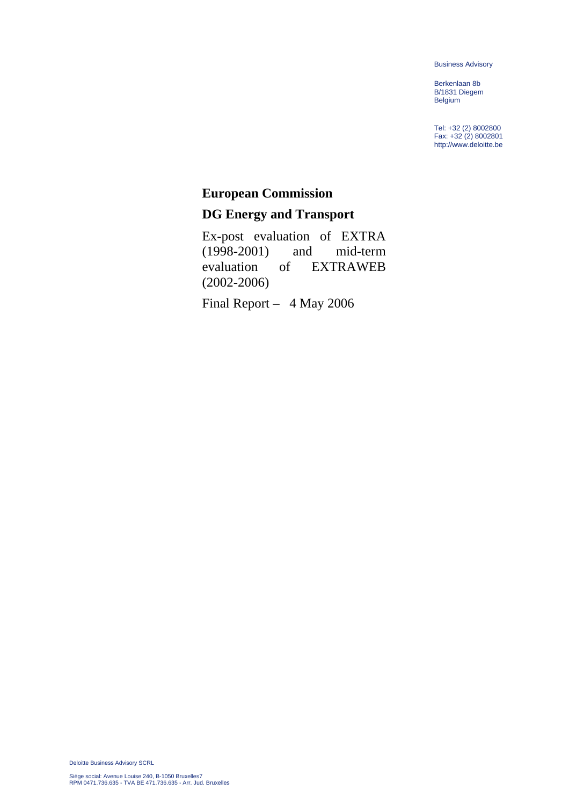Business Advisory

Berkenlaan 8b B/1831 Diegem Belgium

Tel: +32 (2) 8002800 Fax: +32 (2) 8002801 http://www.deloitte.be

## **European Commission**

# **DG Energy and Transport**

Ex-post evaluation of EXTRA (1998-2001) and mid-term evaluation of EXTRAWEB (2002-2006)

Final Report – 4 May 2006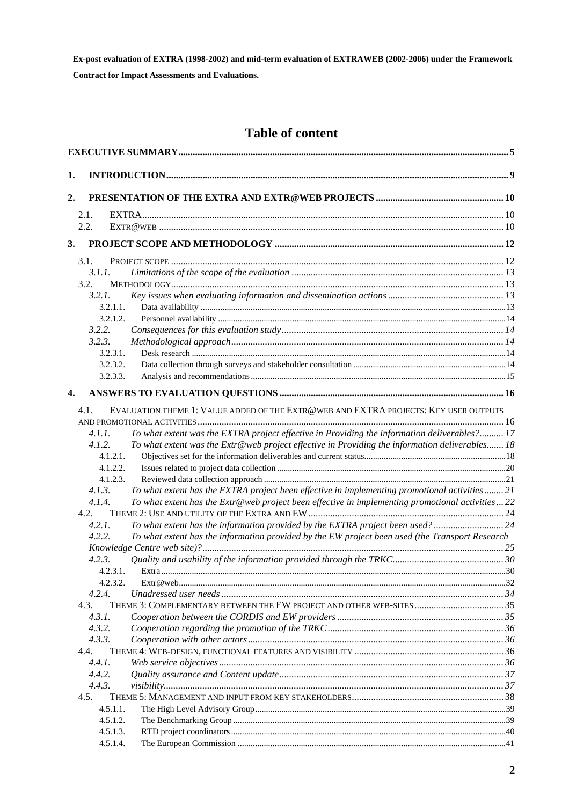# **Table of content**

| 1. |                                                                                                            |  |  |  |
|----|------------------------------------------------------------------------------------------------------------|--|--|--|
|    |                                                                                                            |  |  |  |
| 2. |                                                                                                            |  |  |  |
|    | 2.1.                                                                                                       |  |  |  |
|    | 2.2.                                                                                                       |  |  |  |
| 3. |                                                                                                            |  |  |  |
|    | 3.1.                                                                                                       |  |  |  |
|    | 3.1.1.                                                                                                     |  |  |  |
|    | 3.2.                                                                                                       |  |  |  |
|    | 3.2.1.                                                                                                     |  |  |  |
|    | 3.2.1.1.                                                                                                   |  |  |  |
|    | 3.2.1.2.                                                                                                   |  |  |  |
|    | 3.2.2.                                                                                                     |  |  |  |
|    | 3.2.3.                                                                                                     |  |  |  |
|    | 3.2.3.1.                                                                                                   |  |  |  |
|    | 3.2.3.2.                                                                                                   |  |  |  |
|    | 3.2.3.3.                                                                                                   |  |  |  |
| 4. |                                                                                                            |  |  |  |
|    | EVALUATION THEME 1: VALUE ADDED OF THE EXTR@WEB AND EXTRA PROJECTS: KEY USER OUTPUTS<br>4.1.               |  |  |  |
|    |                                                                                                            |  |  |  |
|    | To what extent was the EXTRA project effective in Providing the information deliverables? 17<br>4.1.1.     |  |  |  |
|    | To what extent was the Extr@web project effective in Providing the information deliverables 18<br>4.1.2.   |  |  |  |
|    | 4.1.2.1.                                                                                                   |  |  |  |
|    | 4.1.2.2.                                                                                                   |  |  |  |
|    | 4.1.2.3.                                                                                                   |  |  |  |
|    | 4.1.3.<br>To what extent has the EXTRA project been effective in implementing promotional activities 21    |  |  |  |
|    | To what extent has the Extr@web project been effective in implementing promotional activities 22<br>4.1.4. |  |  |  |
|    | 4.2.                                                                                                       |  |  |  |
|    | To what extent has the information provided by the EXTRA project been used?  24<br>4.2.1.                  |  |  |  |
|    | To what extent has the information provided by the EW project been used (the Transport Research<br>4.2.2.  |  |  |  |
|    |                                                                                                            |  |  |  |
|    | 4.2.3.                                                                                                     |  |  |  |
|    | 4.2.3.1.                                                                                                   |  |  |  |
|    | 4.2.3.2.<br>4.2.4.                                                                                         |  |  |  |
|    | 4.3.                                                                                                       |  |  |  |
|    | 4.3.1.                                                                                                     |  |  |  |
|    | 4.3.2.                                                                                                     |  |  |  |
|    | 4.3.3.                                                                                                     |  |  |  |
|    | 4.4.                                                                                                       |  |  |  |
|    | 4.4.1.                                                                                                     |  |  |  |
|    | 4.4.2.                                                                                                     |  |  |  |
|    | 4.4.3.                                                                                                     |  |  |  |
|    | 4.5.                                                                                                       |  |  |  |
|    | 4.5.1.1.                                                                                                   |  |  |  |
|    | 4.5.1.2.                                                                                                   |  |  |  |
|    | 4.5.1.3.                                                                                                   |  |  |  |
|    | 4.5.1.4.                                                                                                   |  |  |  |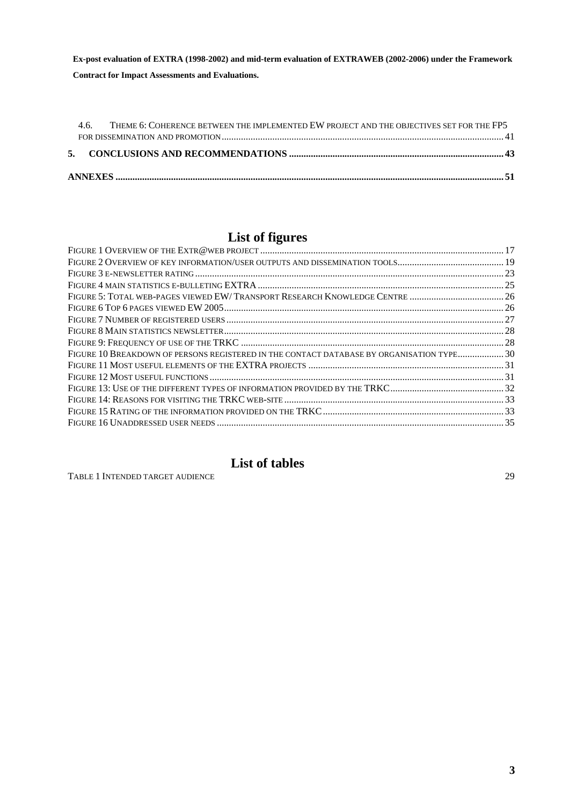| 46 | THEME 6: COHERENCE BETWEEN THE IMPLEMENTED EW PROJECT AND THE OBJECTIVES SET FOR THE FP5 |  |  |  |  |
|----|------------------------------------------------------------------------------------------|--|--|--|--|

# **List of figures**

| FIGURE 5: TOTAL WEB-PAGES VIEWED EW/TRANSPORT RESEARCH KNOWLEDGE CENTRE  26               |  |
|-------------------------------------------------------------------------------------------|--|
|                                                                                           |  |
|                                                                                           |  |
|                                                                                           |  |
|                                                                                           |  |
| FIGURE 10 BREAKDOWN OF PERSONS REGISTERED IN THE CONTACT DATABASE BY ORGANISATION TYPE 30 |  |
|                                                                                           |  |
|                                                                                           |  |
|                                                                                           |  |
|                                                                                           |  |
|                                                                                           |  |
|                                                                                           |  |
|                                                                                           |  |

# **List of tables**

TABLE 1 [INTENDED TARGET AUDIENCE 29](#page-28-0)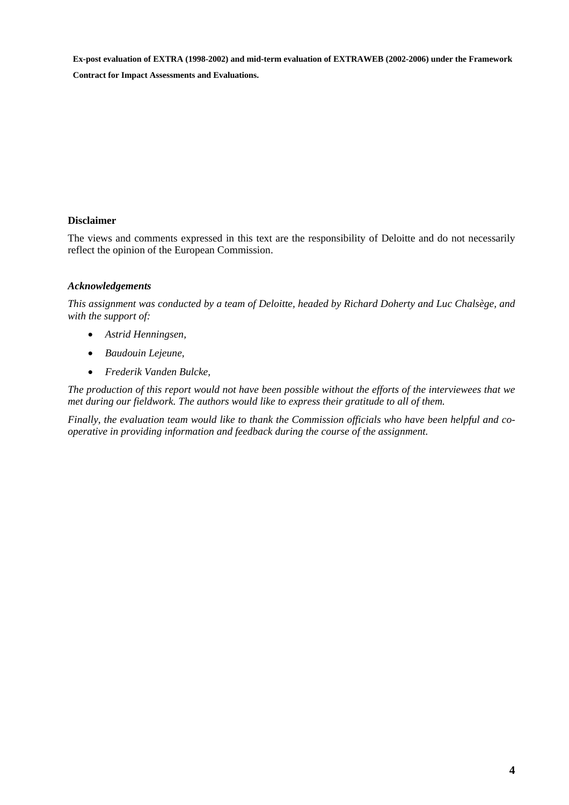**Contract for Impact Assessments and Evaluations.** 

#### **Disclaimer**

The views and comments expressed in this text are the responsibility of Deloitte and do not necessarily reflect the opinion of the European Commission.

#### *Acknowledgements*

*This assignment was conducted by a team of Deloitte, headed by Richard Doherty and Luc Chalsège, and with the support of:* 

- *Astrid Henningsen,*
- *Baudouin Lejeune,*
- *Frederik Vanden Bulcke,*

*The production of this report would not have been possible without the efforts of the interviewees that we met during our fieldwork. The authors would like to express their gratitude to all of them.* 

*Finally, the evaluation team would like to thank the Commission officials who have been helpful and cooperative in providing information and feedback during the course of the assignment.*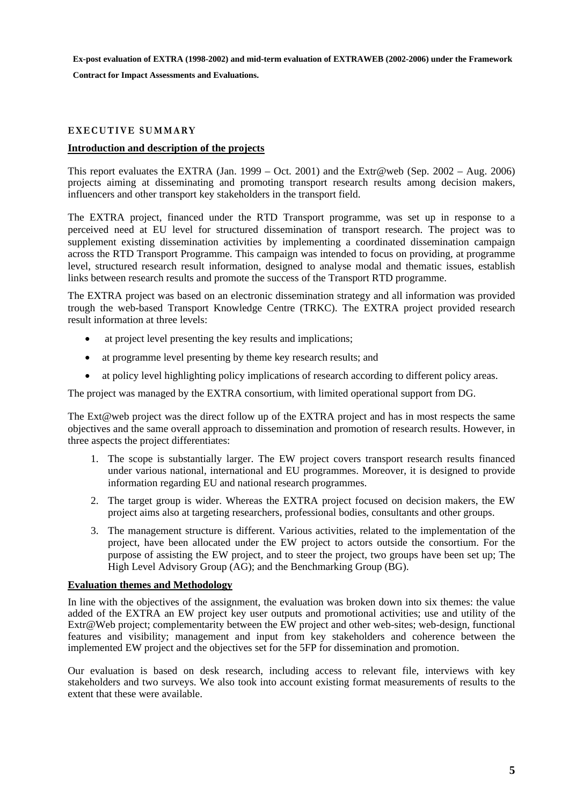**Contract for Impact Assessments and Evaluations.** 

#### <span id="page-4-0"></span>**EXECUTIVE SUMMARY**

#### **Introduction and description of the projects**

This report evaluates the EXTRA (Jan. 1999 – Oct. 2001) and the Extr@web (Sep. 2002 – Aug. 2006) projects aiming at disseminating and promoting transport research results among decision makers, influencers and other transport key stakeholders in the transport field.

The EXTRA project, financed under the RTD Transport programme, was set up in response to a perceived need at EU level for structured dissemination of transport research. The project was to supplement existing dissemination activities by implementing a coordinated dissemination campaign across the RTD Transport Programme. This campaign was intended to focus on providing, at programme level, structured research result information, designed to analyse modal and thematic issues, establish links between research results and promote the success of the Transport RTD programme.

The EXTRA project was based on an electronic dissemination strategy and all information was provided trough the web-based Transport Knowledge Centre (TRKC). The EXTRA project provided research result information at three levels:

- at project level presenting the key results and implications;
- at programme level presenting by theme key research results; and
- at policy level highlighting policy implications of research according to different policy areas.

The project was managed by the EXTRA consortium, with limited operational support from DG.

The Ext@web project was the direct follow up of the EXTRA project and has in most respects the same objectives and the same overall approach to dissemination and promotion of research results. However, in three aspects the project differentiates:

- 1. The scope is substantially larger. The EW project covers transport research results financed under various national, international and EU programmes. Moreover, it is designed to provide information regarding EU and national research programmes.
- 2. The target group is wider. Whereas the EXTRA project focused on decision makers, the EW project aims also at targeting researchers, professional bodies, consultants and other groups.
- 3. The management structure is different. Various activities, related to the implementation of the project, have been allocated under the EW project to actors outside the consortium. For the purpose of assisting the EW project, and to steer the project, two groups have been set up; The High Level Advisory Group (AG); and the Benchmarking Group (BG).

#### **Evaluation themes and Methodology**

In line with the objectives of the assignment, the evaluation was broken down into six themes: the value added of the EXTRA an EW project key user outputs and promotional activities; use and utility of the Extr@Web project; complementarity between the EW project and other web-sites; web-design, functional features and visibility; management and input from key stakeholders and coherence between the implemented EW project and the objectives set for the 5FP for dissemination and promotion.

Our evaluation is based on desk research, including access to relevant file, interviews with key stakeholders and two surveys. We also took into account existing format measurements of results to the extent that these were available.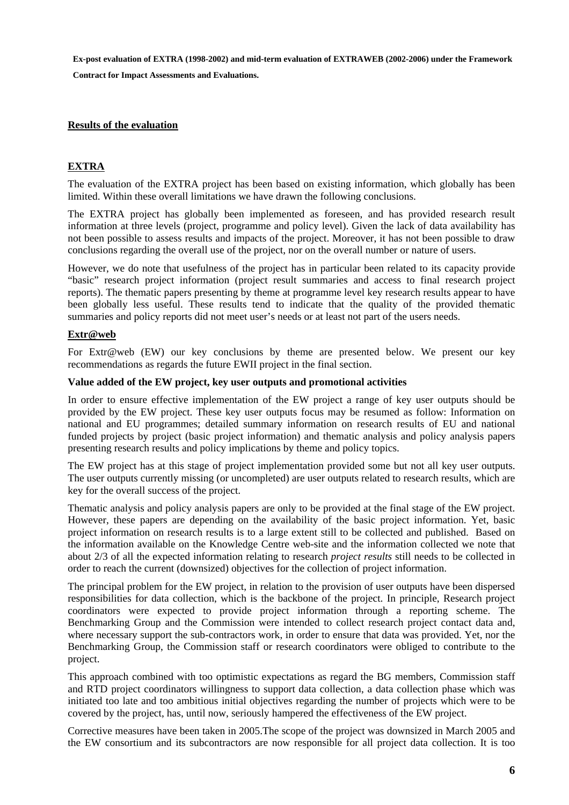**Contract for Impact Assessments and Evaluations.** 

#### **Results of the evaluation**

#### **EXTRA**

The evaluation of the EXTRA project has been based on existing information, which globally has been limited. Within these overall limitations we have drawn the following conclusions.

The EXTRA project has globally been implemented as foreseen, and has provided research result information at three levels (project, programme and policy level). Given the lack of data availability has not been possible to assess results and impacts of the project. Moreover, it has not been possible to draw conclusions regarding the overall use of the project, nor on the overall number or nature of users.

However, we do note that usefulness of the project has in particular been related to its capacity provide "basic" research project information (project result summaries and access to final research project reports). The thematic papers presenting by theme at programme level key research results appear to have been globally less useful. These results tend to indicate that the quality of the provided thematic summaries and policy reports did not meet user's needs or at least not part of the users needs.

#### **Extr@web**

For Extr@web (EW) our key conclusions by theme are presented below. We present our key recommendations as regards the future EWII project in the final section.

#### **Value added of the EW project, key user outputs and promotional activities**

In order to ensure effective implementation of the EW project a range of key user outputs should be provided by the EW project. These key user outputs focus may be resumed as follow: Information on national and EU programmes; detailed summary information on research results of EU and national funded projects by project (basic project information) and thematic analysis and policy analysis papers presenting research results and policy implications by theme and policy topics.

The EW project has at this stage of project implementation provided some but not all key user outputs. The user outputs currently missing (or uncompleted) are user outputs related to research results, which are key for the overall success of the project.

Thematic analysis and policy analysis papers are only to be provided at the final stage of the EW project. However, these papers are depending on the availability of the basic project information. Yet, basic project information on research results is to a large extent still to be collected and published. Based on the information available on the Knowledge Centre web-site and the information collected we note that about 2/3 of all the expected information relating to research *project results* still needs to be collected in order to reach the current (downsized) objectives for the collection of project information.

The principal problem for the EW project, in relation to the provision of user outputs have been dispersed responsibilities for data collection, which is the backbone of the project. In principle, Research project coordinators were expected to provide project information through a reporting scheme. The Benchmarking Group and the Commission were intended to collect research project contact data and, where necessary support the sub-contractors work, in order to ensure that data was provided. Yet, nor the Benchmarking Group, the Commission staff or research coordinators were obliged to contribute to the project.

This approach combined with too optimistic expectations as regard the BG members, Commission staff and RTD project coordinators willingness to support data collection, a data collection phase which was initiated too late and too ambitious initial objectives regarding the number of projects which were to be covered by the project, has, until now, seriously hampered the effectiveness of the EW project.

Corrective measures have been taken in 2005.The scope of the project was downsized in March 2005 and the EW consortium and its subcontractors are now responsible for all project data collection. It is too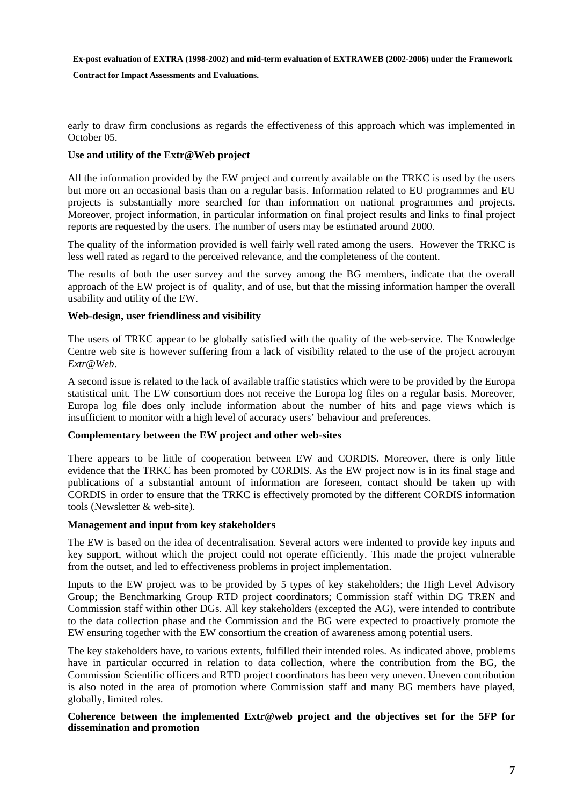**Contract for Impact Assessments and Evaluations.** 

early to draw firm conclusions as regards the effectiveness of this approach which was implemented in October 05.

#### **Use and utility of the Extr@Web project**

All the information provided by the EW project and currently available on the TRKC is used by the users but more on an occasional basis than on a regular basis. Information related to EU programmes and EU projects is substantially more searched for than information on national programmes and projects. Moreover, project information, in particular information on final project results and links to final project reports are requested by the users. The number of users may be estimated around 2000.

The quality of the information provided is well fairly well rated among the users. However the TRKC is less well rated as regard to the perceived relevance, and the completeness of the content.

The results of both the user survey and the survey among the BG members, indicate that the overall approach of the EW project is of quality, and of use, but that the missing information hamper the overall usability and utility of the EW.

#### **Web-design, user friendliness and visibility**

The users of TRKC appear to be globally satisfied with the quality of the web-service. The Knowledge Centre web site is however suffering from a lack of visibility related to the use of the project acronym *Extr@Web*.

A second issue is related to the lack of available traffic statistics which were to be provided by the Europa statistical unit. The EW consortium does not receive the Europa log files on a regular basis. Moreover, Europa log file does only include information about the number of hits and page views which is insufficient to monitor with a high level of accuracy users' behaviour and preferences.

#### **Complementary between the EW project and other web-sites**

There appears to be little of cooperation between EW and CORDIS. Moreover, there is only little evidence that the TRKC has been promoted by CORDIS. As the EW project now is in its final stage and publications of a substantial amount of information are foreseen, contact should be taken up with CORDIS in order to ensure that the TRKC is effectively promoted by the different CORDIS information tools (Newsletter & web-site).

#### **Management and input from key stakeholders**

The EW is based on the idea of decentralisation. Several actors were indented to provide key inputs and key support, without which the project could not operate efficiently. This made the project vulnerable from the outset, and led to effectiveness problems in project implementation.

Inputs to the EW project was to be provided by 5 types of key stakeholders; the High Level Advisory Group; the Benchmarking Group RTD project coordinators; Commission staff within DG TREN and Commission staff within other DGs. All key stakeholders (excepted the AG), were intended to contribute to the data collection phase and the Commission and the BG were expected to proactively promote the EW ensuring together with the EW consortium the creation of awareness among potential users.

The key stakeholders have, to various extents, fulfilled their intended roles. As indicated above, problems have in particular occurred in relation to data collection, where the contribution from the BG, the Commission Scientific officers and RTD project coordinators has been very uneven. Uneven contribution is also noted in the area of promotion where Commission staff and many BG members have played, globally, limited roles.

#### **Coherence between the implemented Extr@web project and the objectives set for the 5FP for dissemination and promotion**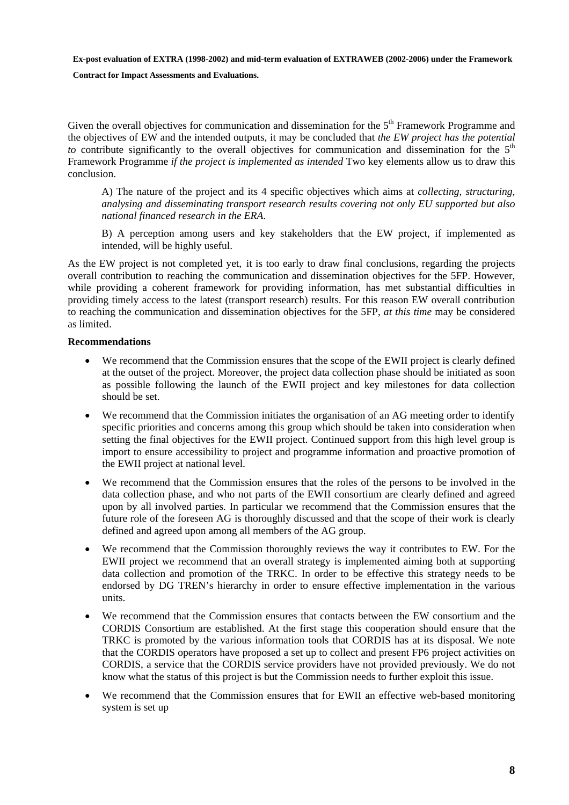#### **Contract for Impact Assessments and Evaluations.**

Given the overall objectives for communication and dissemination for the 5<sup>th</sup> Framework Programme and the objectives of EW and the intended outputs, it may be concluded that *the EW project has the potential to* contribute significantly to the overall objectives for communication and dissemination for the  $5<sup>th</sup>$ Framework Programme *if the project is implemented as intended* Two key elements allow us to draw this conclusion.

A) The nature of the project and its 4 specific objectives which aims at *collecting, structuring, analysing and disseminating transport research results covering not only EU supported but also national financed research in the ERA*.

B) A perception among users and key stakeholders that the EW project, if implemented as intended, will be highly useful.

As the EW project is not completed yet, it is too early to draw final conclusions, regarding the projects overall contribution to reaching the communication and dissemination objectives for the 5FP. However, while providing a coherent framework for providing information, has met substantial difficulties in providing timely access to the latest (transport research) results. For this reason EW overall contribution to reaching the communication and dissemination objectives for the 5FP, *at this time* may be considered as limited.

#### **Recommendations**

- We recommend that the Commission ensures that the scope of the EWII project is clearly defined at the outset of the project. Moreover, the project data collection phase should be initiated as soon as possible following the launch of the EWII project and key milestones for data collection should be set.
- We recommend that the Commission initiates the organisation of an AG meeting order to identify specific priorities and concerns among this group which should be taken into consideration when setting the final objectives for the EWII project. Continued support from this high level group is import to ensure accessibility to project and programme information and proactive promotion of the EWII project at national level.
- We recommend that the Commission ensures that the roles of the persons to be involved in the data collection phase, and who not parts of the EWII consortium are clearly defined and agreed upon by all involved parties. In particular we recommend that the Commission ensures that the future role of the foreseen AG is thoroughly discussed and that the scope of their work is clearly defined and agreed upon among all members of the AG group.
- We recommend that the Commission thoroughly reviews the way it contributes to EW. For the EWII project we recommend that an overall strategy is implemented aiming both at supporting data collection and promotion of the TRKC. In order to be effective this strategy needs to be endorsed by DG TREN's hierarchy in order to ensure effective implementation in the various units.
- We recommend that the Commission ensures that contacts between the EW consortium and the CORDIS Consortium are established. At the first stage this cooperation should ensure that the TRKC is promoted by the various information tools that CORDIS has at its disposal. We note that the CORDIS operators have proposed a set up to collect and present FP6 project activities on CORDIS, a service that the CORDIS service providers have not provided previously. We do not know what the status of this project is but the Commission needs to further exploit this issue.
- We recommend that the Commission ensures that for EWII an effective web-based monitoring system is set up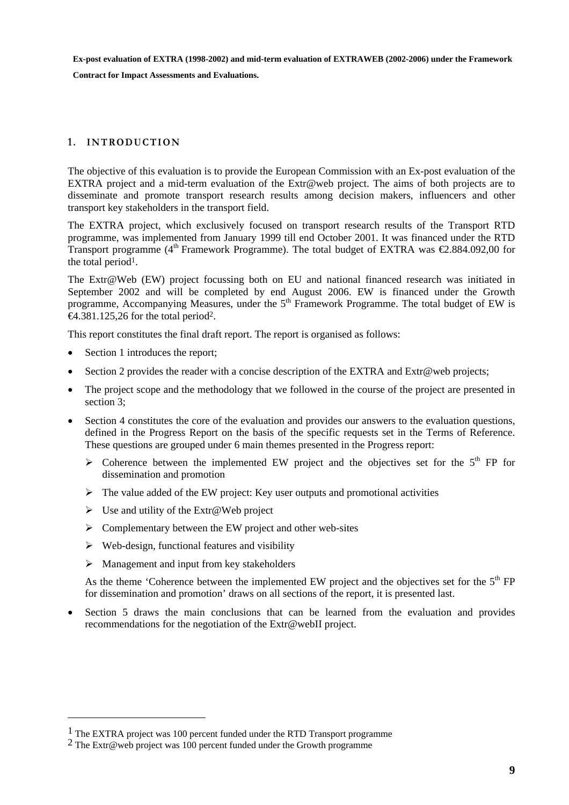**Contract for Impact Assessments and Evaluations.** 

#### <span id="page-8-0"></span>1. **INTRODUCTION**

The objective of this evaluation is to provide the European Commission with an Ex-post evaluation of the EXTRA project and a mid-term evaluation of the Extr@web project. The aims of both projects are to disseminate and promote transport research results among decision makers, influencers and other transport key stakeholders in the transport field.

The EXTRA project, which exclusively focused on transport research results of the Transport RTD programme, was implemented from January 1999 till end October 2001. It was financed under the RTD Transport programme (4<sup>th</sup> Framework Programme). The total budget of EXTRA was  $\epsilon$ 2.884.092,00 for the total period<sup>1</sup>.

The Extr@Web (EW) project focussing both on EU and national financed research was initiated in September 2002 and will be completed by end August 2006. EW is financed under the Growth programme, Accompanying Measures, under the  $5<sup>th</sup>$  Framework Programme. The total budget of EW is  $\Theta$ .381.125,26 for the total period<sup>2</sup>.

This report constitutes the final draft report. The report is organised as follows:

• Section 1 introduces the report;

 $\overline{a}$ 

- Section 2 provides the reader with a concise description of the EXTRA and Extr@web projects;
- The project scope and the methodology that we followed in the course of the project are presented in section 3;
- Section 4 constitutes the core of the evaluation and provides our answers to the evaluation questions, defined in the Progress Report on the basis of the specific requests set in the Terms of Reference. These questions are grouped under 6 main themes presented in the Progress report:
	- $\triangleright$  Coherence between the implemented EW project and the objectives set for the  $5<sup>th</sup>$  FP for dissemination and promotion
	- $\triangleright$  The value added of the EW project: Key user outputs and promotional activities
	- $\triangleright$  Use and utility of the Extr@Web project
	- $\triangleright$  Complementary between the EW project and other web-sites
	- $\triangleright$  Web-design, functional features and visibility
	- $\triangleright$  Management and input from key stakeholders

As the theme 'Coherence between the implemented EW project and the objectives set for the  $5<sup>th</sup> FP$ for dissemination and promotion' draws on all sections of the report, it is presented last.

• Section 5 draws the main conclusions that can be learned from the evaluation and provides recommendations for the negotiation of the Extr@webII project.

<sup>1</sup> The EXTRA project was 100 percent funded under the RTD Transport programme

<sup>2</sup> The Extr@web project was 100 percent funded under the Growth programme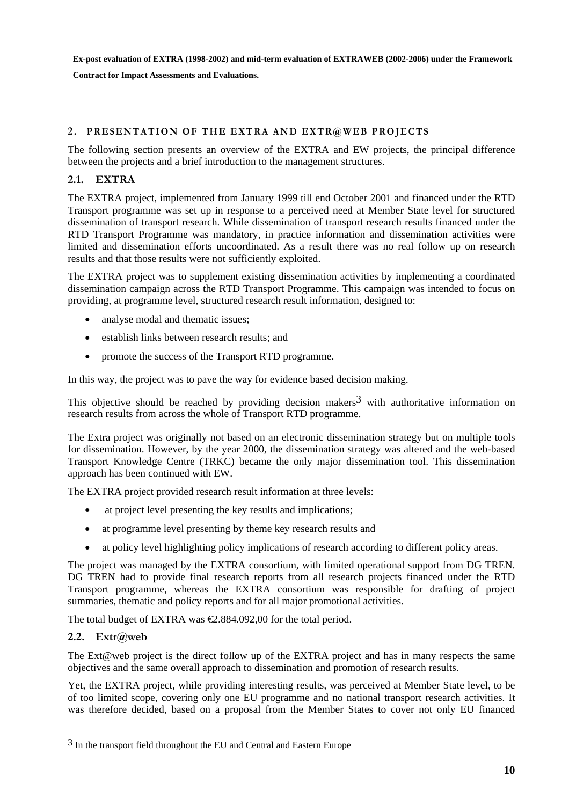**Contract for Impact Assessments and Evaluations.** 

#### <span id="page-9-0"></span>**2 . PRESENTATION OF THE EXTRA AND EXTR@WEB PROJECTS**

The following section presents an overview of the EXTRA and EW projects, the principal difference between the projects and a brief introduction to the management structures.

#### <span id="page-9-1"></span>**2.1. EXTRA**

The EXTRA project, implemented from January 1999 till end October 2001 and financed under the RTD Transport programme was set up in response to a perceived need at Member State level for structured dissemination of transport research. While dissemination of transport research results financed under the RTD Transport Programme was mandatory, in practice information and dissemination activities were limited and dissemination efforts uncoordinated. As a result there was no real follow up on research results and that those results were not sufficiently exploited.

The EXTRA project was to supplement existing dissemination activities by implementing a coordinated dissemination campaign across the RTD Transport Programme. This campaign was intended to focus on providing, at programme level, structured research result information, designed to:

- analyse modal and thematic issues;
- establish links between research results; and
- promote the success of the Transport RTD programme.

In this way, the project was to pave the way for evidence based decision making.

This objective should be reached by providing decision makers<sup>3</sup> with authoritative information on research results from across the whole of Transport RTD programme.

The Extra project was originally not based on an electronic dissemination strategy but on multiple tools for dissemination. However, by the year 2000, the dissemination strategy was altered and the web-based Transport Knowledge Centre (TRKC) became the only major dissemination tool. This dissemination approach has been continued with EW.

The EXTRA project provided research result information at three levels:

- at project level presenting the key results and implications;
- at programme level presenting by theme key research results and
- at policy level highlighting policy implications of research according to different policy areas.

The project was managed by the EXTRA consortium, with limited operational support from DG TREN. DG TREN had to provide final research reports from all research projects financed under the RTD Transport programme, whereas the EXTRA consortium was responsible for drafting of project summaries, thematic and policy reports and for all major promotional activities.

<span id="page-9-2"></span>The total budget of EXTRA was  $\text{\textsterling}2.884.092,00$  for the total period.

#### **2.2. Extr@web**

 $\overline{a}$ 

The Ext@web project is the direct follow up of the EXTRA project and has in many respects the same objectives and the same overall approach to dissemination and promotion of research results.

Yet, the EXTRA project, while providing interesting results, was perceived at Member State level, to be of too limited scope, covering only one EU programme and no national transport research activities. It was therefore decided, based on a proposal from the Member States to cover not only EU financed

<sup>&</sup>lt;sup>3</sup> In the transport field throughout the EU and Central and Eastern Europe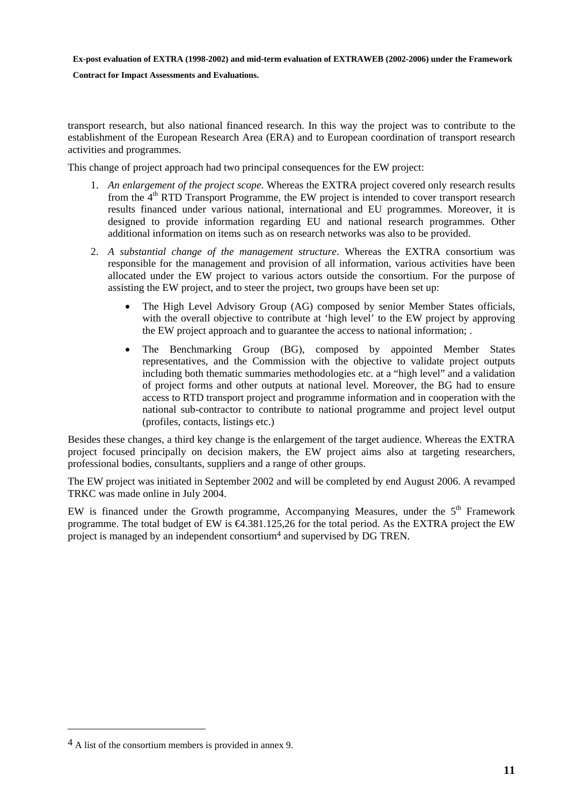**Contract for Impact Assessments and Evaluations.** 

transport research, but also national financed research. In this way the project was to contribute to the establishment of the European Research Area (ERA) and to European coordination of transport research activities and programmes.

This change of project approach had two principal consequences for the EW project:

- 1. *An enlargement of the project scope*. Whereas the EXTRA project covered only research results from the  $4<sup>th</sup>$  RTD Transport Programme, the EW project is intended to cover transport research results financed under various national, international and EU programmes. Moreover, it is designed to provide information regarding EU and national research programmes. Other additional information on items such as on research networks was also to be provided.
- 2. *A substantial change of the management structure*. Whereas the EXTRA consortium was responsible for the management and provision of all information, various activities have been allocated under the EW project to various actors outside the consortium. For the purpose of assisting the EW project, and to steer the project, two groups have been set up:
	- The High Level Advisory Group (AG) composed by senior Member States officials, with the overall objective to contribute at 'high level' to the EW project by approving the EW project approach and to guarantee the access to national information; .
	- The Benchmarking Group (BG), composed by appointed Member States representatives, and the Commission with the objective to validate project outputs including both thematic summaries methodologies etc. at a "high level" and a validation of project forms and other outputs at national level. Moreover, the BG had to ensure access to RTD transport project and programme information and in cooperation with the national sub-contractor to contribute to national programme and project level output (profiles, contacts, listings etc.)

Besides these changes, a third key change is the enlargement of the target audience. Whereas the EXTRA project focused principally on decision makers, the EW project aims also at targeting researchers, professional bodies, consultants, suppliers and a range of other groups.

The EW project was initiated in September 2002 and will be completed by end August 2006. A revamped TRKC was made online in July 2004.

EW is financed under the Growth programme, Accompanying Measures, under the  $5<sup>th</sup>$  Framework programme. The total budget of EW is €4.381.125,26 for the total period. As the EXTRA project the EW project is managed by an independent consortium4 and supervised by DG TREN.

 $\overline{a}$ 

<sup>4</sup> A list of the consortium members is provided in annex 9.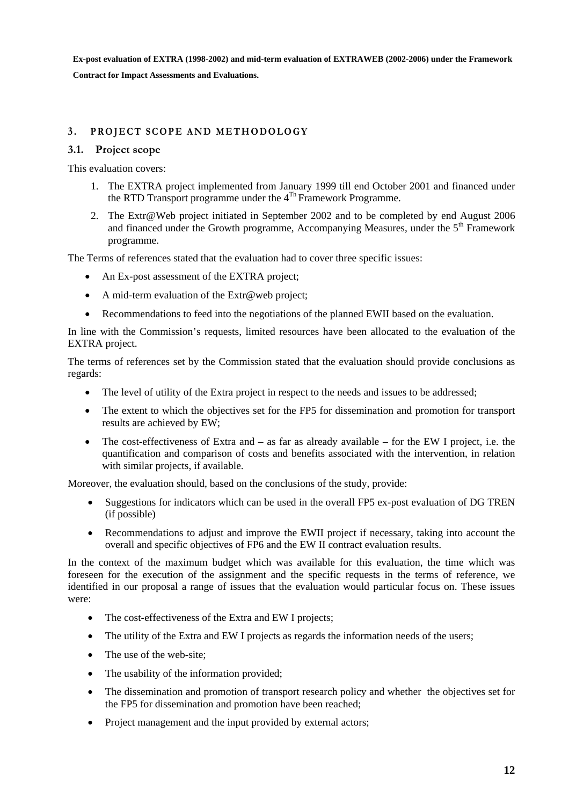### <span id="page-11-1"></span><span id="page-11-0"></span>**3 . PROJECT SCOPE AND METHODOLOGY**

#### **3.1. Project scope**

This evaluation covers:

- 1. The EXTRA project implemented from January 1999 till end October 2001 and financed under the RTD Transport programme under the  $4^{Th}$  Framework Programme.
- 2. The Extr@Web project initiated in September 2002 and to be completed by end August 2006 and financed under the Growth programme, Accompanying Measures, under the 5<sup>th</sup> Framework programme.

The Terms of references stated that the evaluation had to cover three specific issues:

- An Ex-post assessment of the EXTRA project;
- A mid-term evaluation of the Extr@web project;
- Recommendations to feed into the negotiations of the planned EWII based on the evaluation.

In line with the Commission's requests, limited resources have been allocated to the evaluation of the EXTRA project.

The terms of references set by the Commission stated that the evaluation should provide conclusions as regards:

- The level of utility of the Extra project in respect to the needs and issues to be addressed;
- The extent to which the objectives set for the FP5 for dissemination and promotion for transport results are achieved by EW;
- The cost-effectiveness of Extra and as far as already available for the EW I project, i.e. the quantification and comparison of costs and benefits associated with the intervention, in relation with similar projects, if available.

Moreover, the evaluation should, based on the conclusions of the study, provide:

- Suggestions for indicators which can be used in the overall FP5 ex-post evaluation of DG TREN (if possible)
- Recommendations to adjust and improve the EWII project if necessary, taking into account the overall and specific objectives of FP6 and the EW II contract evaluation results.

In the context of the maximum budget which was available for this evaluation, the time which was foreseen for the execution of the assignment and the specific requests in the terms of reference, we identified in our proposal a range of issues that the evaluation would particular focus on. These issues were:

- The cost-effectiveness of the Extra and EW I projects:
- The utility of the Extra and EW I projects as regards the information needs of the users;
- The use of the web-site:
- The usability of the information provided;
- The dissemination and promotion of transport research policy and whether the objectives set for the FP5 for dissemination and promotion have been reached;
- Project management and the input provided by external actors;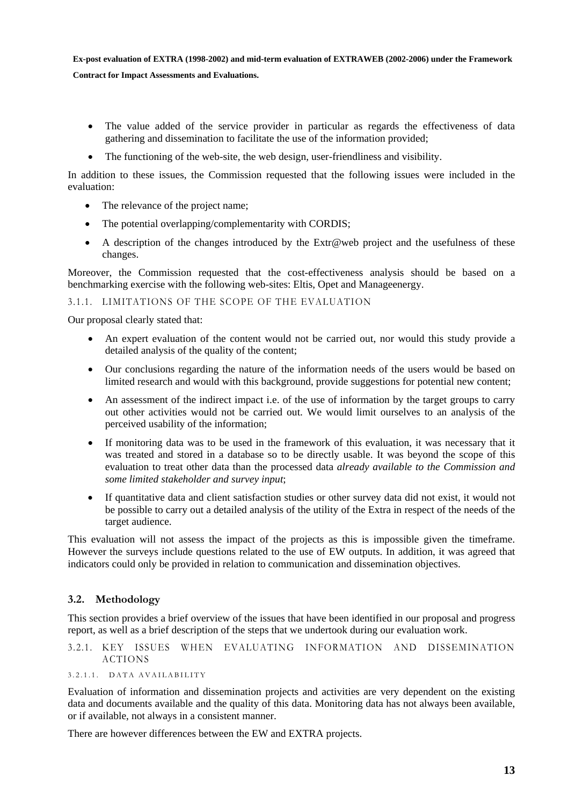- The value added of the service provider in particular as regards the effectiveness of data gathering and dissemination to facilitate the use of the information provided;
- The functioning of the web-site, the web design, user-friendliness and visibility.

In addition to these issues, the Commission requested that the following issues were included in the evaluation:

- The relevance of the project name:
- The potential overlapping/complementarity with CORDIS;
- A description of the changes introduced by the Extr@web project and the usefulness of these changes.

Moreover, the Commission requested that the cost-effectiveness analysis should be based on a benchmarking exercise with the following web-sites: Eltis, Opet and Manageenergy.

#### <span id="page-12-0"></span>3.1.1. LIMITATIONS OF THE SCOPE OF THE EVALUATION

Our proposal clearly stated that:

- An expert evaluation of the content would not be carried out, nor would this study provide a detailed analysis of the quality of the content;
- Our conclusions regarding the nature of the information needs of the users would be based on limited research and would with this background, provide suggestions for potential new content;
- An assessment of the indirect impact i.e. of the use of information by the target groups to carry out other activities would not be carried out. We would limit ourselves to an analysis of the perceived usability of the information;
- If monitoring data was to be used in the framework of this evaluation, it was necessary that it was treated and stored in a database so to be directly usable. It was beyond the scope of this evaluation to treat other data than the processed data *already available to the Commission and some limited stakeholder and survey input*;
- If quantitative data and client satisfaction studies or other survey data did not exist, it would not be possible to carry out a detailed analysis of the utility of the Extra in respect of the needs of the target audience.

This evaluation will not assess the impact of the projects as this is impossible given the timeframe. However the surveys include questions related to the use of EW outputs. In addition, it was agreed that indicators could only be provided in relation to communication and dissemination objectives.

#### <span id="page-12-1"></span>**3.2. Methodology**

This section provides a brief overview of the issues that have been identified in our proposal and progress report, as well as a brief description of the steps that we undertook during our evaluation work.

#### <span id="page-12-2"></span>3.2.1. KEY ISSUES WHEN EVALUATING INFORMATION AND DISSEMINATION ACTIONS

#### <span id="page-12-3"></span>3.2.1.1. DATA AVAILABILITY

Evaluation of information and dissemination projects and activities are very dependent on the existing data and documents available and the quality of this data. Monitoring data has not always been available, or if available, not always in a consistent manner.

There are however differences between the EW and EXTRA projects.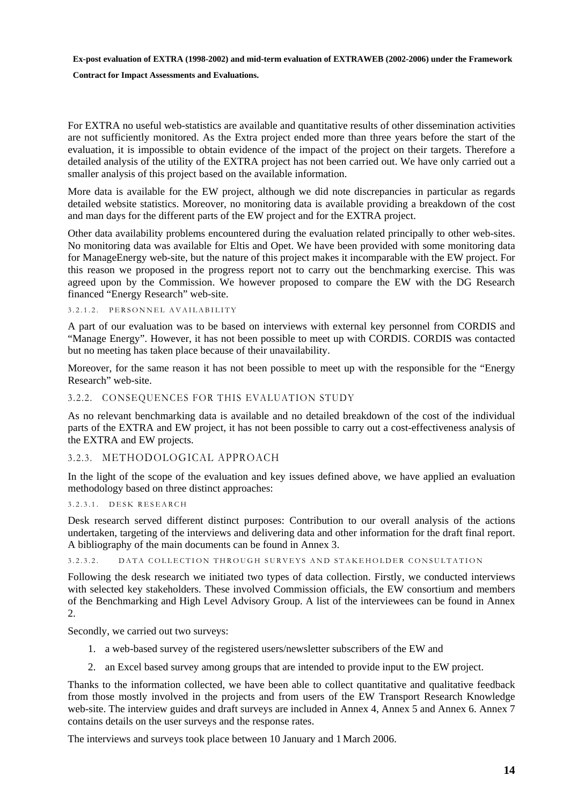**Contract for Impact Assessments and Evaluations.** 

For EXTRA no useful web-statistics are available and quantitative results of other dissemination activities are not sufficiently monitored. As the Extra project ended more than three years before the start of the evaluation, it is impossible to obtain evidence of the impact of the project on their targets. Therefore a detailed analysis of the utility of the EXTRA project has not been carried out. We have only carried out a smaller analysis of this project based on the available information.

More data is available for the EW project, although we did note discrepancies in particular as regards detailed website statistics. Moreover, no monitoring data is available providing a breakdown of the cost and man days for the different parts of the EW project and for the EXTRA project.

Other data availability problems encountered during the evaluation related principally to other web-sites. No monitoring data was available for Eltis and Opet. We have been provided with some monitoring data for ManageEnergy web-site, but the nature of this project makes it incomparable with the EW project. For this reason we proposed in the progress report not to carry out the benchmarking exercise. This was agreed upon by the Commission. We however proposed to compare the EW with the DG Research financed "Energy Research" web-site.

<span id="page-13-0"></span>3.2.1.2. PERSONNEL AVAILABILITY

A part of our evaluation was to be based on interviews with external key personnel from CORDIS and "Manage Energy". However, it has not been possible to meet up with CORDIS. CORDIS was contacted but no meeting has taken place because of their unavailability.

Moreover, for the same reason it has not been possible to meet up with the responsible for the "Energy Research" web-site.

#### <span id="page-13-1"></span>3.2.2. CONSEQUENCES FOR THIS EVALUATION STUDY

As no relevant benchmarking data is available and no detailed breakdown of the cost of the individual parts of the EXTRA and EW project, it has not been possible to carry out a cost-effectiveness analysis of the EXTRA and EW projects.

#### <span id="page-13-2"></span>3.2.3. METHODOLOGICAL APPROACH

In the light of the scope of the evaluation and key issues defined above, we have applied an evaluation methodology based on three distinct approaches:

#### <span id="page-13-3"></span>3.2.3.1. DESK RESEARCH

Desk research served different distinct purposes: Contribution to our overall analysis of the actions undertaken, targeting of the interviews and delivering data and other information for the draft final report. A bibliography of the main documents can be found in Annex 3.

<span id="page-13-4"></span>3.2.3.2. DATA COLLECTION THROUGH SURVEYS AND STAKEHOLDER CONSULTATION

Following the desk research we initiated two types of data collection. Firstly, we conducted interviews with selected key stakeholders. These involved Commission officials, the EW consortium and members of the Benchmarking and High Level Advisory Group. A list of the interviewees can be found in Annex 2.

Secondly, we carried out two surveys:

- 1. a web-based survey of the registered users/newsletter subscribers of the EW and
- 2. an Excel based survey among groups that are intended to provide input to the EW project.

Thanks to the information collected, we have been able to collect quantitative and qualitative feedback from those mostly involved in the projects and from users of the EW Transport Research Knowledge web-site. The interview guides and draft surveys are included in Annex 4, Annex 5 and Annex 6. Annex 7 contains details on the user surveys and the response rates.

The interviews and surveys took place between 10 January and 1 March 2006.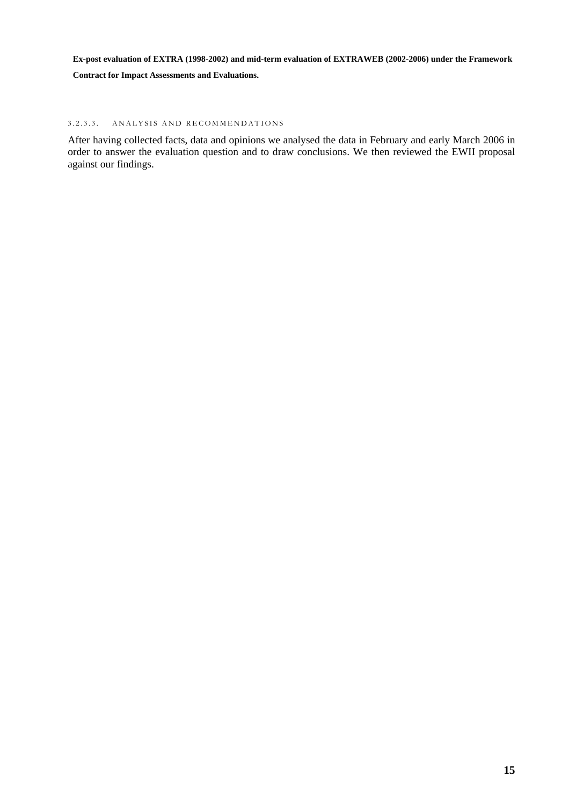**Contract for Impact Assessments and Evaluations.** 

#### <span id="page-14-0"></span>3.2.3.3. ANALYSIS AND RECOMMENDATIONS

After having collected facts, data and opinions we analysed the data in February and early March 2006 in order to answer the evaluation question and to draw conclusions. We then reviewed the EWII proposal against our findings.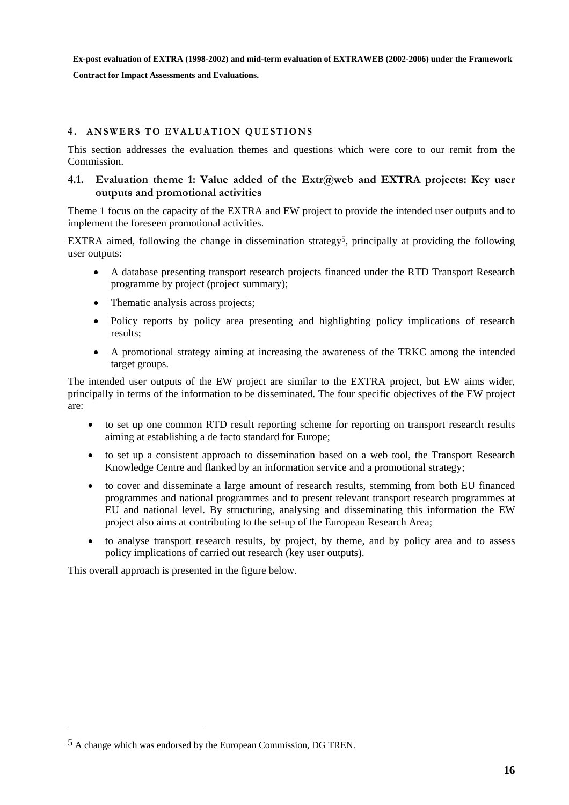**Contract for Impact Assessments and Evaluations.** 

### <span id="page-15-0"></span>**4 . ANSWERS TO EVALUATION QUESTIONS**

This section addresses the evaluation themes and questions which were core to our remit from the Commission.

#### <span id="page-15-1"></span>**4.1. Evaluation theme 1: Value added of the Extr@web and EXTRA projects: Key user outputs and promotional activities**

Theme 1 focus on the capacity of the EXTRA and EW project to provide the intended user outputs and to implement the foreseen promotional activities.

EXTRA aimed, following the change in dissemination strategy<sup>5</sup>, principally at providing the following user outputs:

- A database presenting transport research projects financed under the RTD Transport Research programme by project (project summary);
- Thematic analysis across projects;
- Policy reports by policy area presenting and highlighting policy implications of research results;
- A promotional strategy aiming at increasing the awareness of the TRKC among the intended target groups.

The intended user outputs of the EW project are similar to the EXTRA project, but EW aims wider, principally in terms of the information to be disseminated. The four specific objectives of the EW project are:

- to set up one common RTD result reporting scheme for reporting on transport research results aiming at establishing a de facto standard for Europe;
- to set up a consistent approach to dissemination based on a web tool, the Transport Research Knowledge Centre and flanked by an information service and a promotional strategy;
- to cover and disseminate a large amount of research results, stemming from both EU financed programmes and national programmes and to present relevant transport research programmes at EU and national level. By structuring, analysing and disseminating this information the EW project also aims at contributing to the set-up of the European Research Area;
- to analyse transport research results, by project, by theme, and by policy area and to assess policy implications of carried out research (key user outputs).

This overall approach is presented in the figure below.

 $\overline{a}$ 

<sup>5</sup> A change which was endorsed by the European Commission, DG TREN.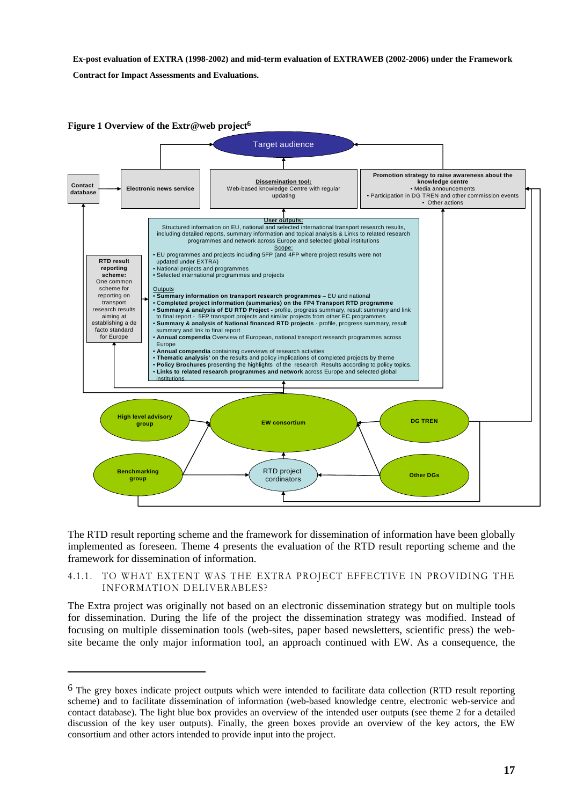**Contract for Impact Assessments and Evaluations.** 

 $\overline{a}$ 

<span id="page-16-1"></span>

The RTD result reporting scheme and the framework for dissemination of information have been globally implemented as foreseen. Theme 4 presents the evaluation of the RTD result reporting scheme and the framework for dissemination of information.

#### <span id="page-16-0"></span>4.1.1. TO WHAT EXTENT WAS THE EXTRA PROJECT EFFECTIVE IN PROVIDING THE INFORMATION DELIVERABLES?

The Extra project was originally not based on an electronic dissemination strategy but on multiple tools for dissemination. During the life of the project the dissemination strategy was modified. Instead of focusing on multiple dissemination tools (web-sites, paper based newsletters, scientific press) the website became the only major information tool, an approach continued with EW. As a consequence, the

<sup>&</sup>lt;sup>6</sup> The grey boxes indicate project outputs which were intended to facilitate data collection (RTD result reporting scheme) and to facilitate dissemination of information (web-based knowledge centre, electronic web-service and contact database). The light blue box provides an overview of the intended user outputs (see theme 2 for a detailed discussion of the key user outputs). Finally, the green boxes provide an overview of the key actors, the EW consortium and other actors intended to provide input into the project.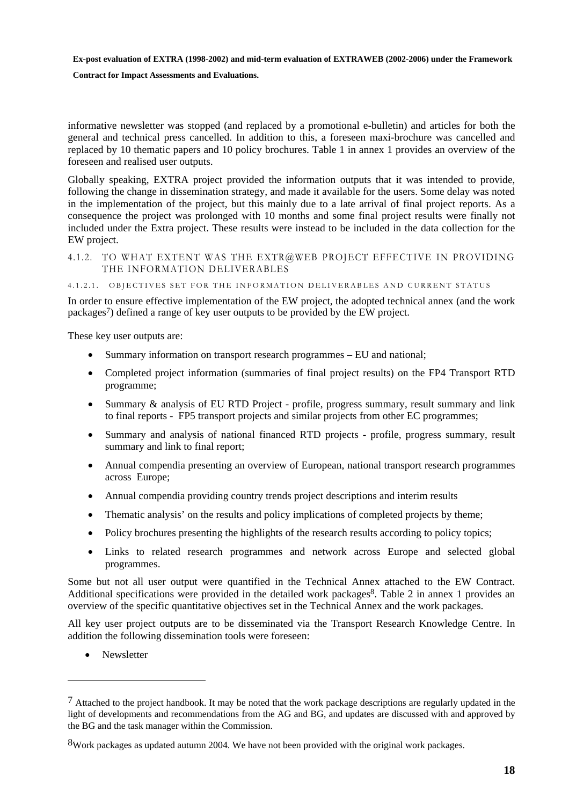#### **Contract for Impact Assessments and Evaluations.**

informative newsletter was stopped (and replaced by a promotional e-bulletin) and articles for both the general and technical press cancelled. In addition to this, a foreseen maxi-brochure was cancelled and replaced by 10 thematic papers and 10 policy brochures. Table 1 in annex 1 provides an overview of the foreseen and realised user outputs.

Globally speaking, EXTRA project provided the information outputs that it was intended to provide, following the change in dissemination strategy, and made it available for the users. Some delay was noted in the implementation of the project, but this mainly due to a late arrival of final project reports. As a consequence the project was prolonged with 10 months and some final project results were finally not included under the Extra project. These results were instead to be included in the data collection for the EW project.

<span id="page-17-0"></span>4.1.2. TO WHAT EXTENT WAS THE EXTR@WEB PROJECT EFFECTIVE IN PROVIDING THE INFORMATION DELIVERABLES

<span id="page-17-1"></span>4.1.2.1. OBJECTIVES SET FOR THE INFORMATION DELIVERABLES AND CURRENT STATUS

In order to ensure effective implementation of the EW project, the adopted technical annex (and the work packages7) defined a range of key user outputs to be provided by the EW project.

These key user outputs are:

- Summary information on transport research programmes EU and national;
- Completed project information (summaries of final project results) on the FP4 Transport RTD programme;
- Summary & analysis of EU RTD Project profile, progress summary, result summary and link to final reports - FP5 transport projects and similar projects from other EC programmes;
- Summary and analysis of national financed RTD projects profile, progress summary, result summary and link to final report;
- Annual compendia presenting an overview of European, national transport research programmes across Europe;
- Annual compendia providing country trends project descriptions and interim results
- Thematic analysis' on the results and policy implications of completed projects by theme;
- Policy brochures presenting the highlights of the research results according to policy topics;
- Links to related research programmes and network across Europe and selected global programmes.

Some but not all user output were quantified in the Technical Annex attached to the EW Contract. Additional specifications were provided in the detailed work packages<sup>8</sup>. Table 2 in annex 1 provides an overview of the specific quantitative objectives set in the Technical Annex and the work packages.

All key user project outputs are to be disseminated via the Transport Research Knowledge Centre. In addition the following dissemination tools were foreseen:

• Newsletter

 $\overline{a}$ 

 $<sup>7</sup>$  Attached to the project handbook. It may be noted that the work package descriptions are regularly updated in the</sup> light of developments and recommendations from the AG and BG, and updates are discussed with and approved by the BG and the task manager within the Commission.

<sup>&</sup>lt;sup>8</sup>Work packages as updated autumn 2004. We have not been provided with the original work packages.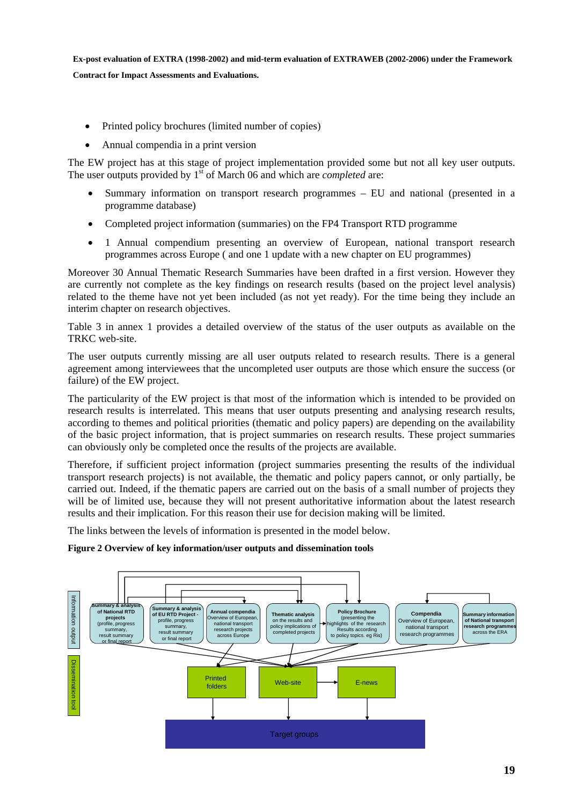- Printed policy brochures (limited number of copies)
- Annual compendia in a print version

The EW project has at this stage of project implementation provided some but not all key user outputs. The user outputs provided by 1<sup>st</sup> of March 06 and which are *completed* are:

- Summary information on transport research programmes EU and national (presented in a programme database)
- Completed project information (summaries) on the FP4 Transport RTD programme
- 1 Annual compendium presenting an overview of European, national transport research programmes across Europe ( and one 1 update with a new chapter on EU programmes)

Moreover 30 Annual Thematic Research Summaries have been drafted in a first version. However they are currently not complete as the key findings on research results (based on the project level analysis) related to the theme have not yet been included (as not yet ready). For the time being they include an interim chapter on research objectives.

Table 3 in annex 1 provides a detailed overview of the status of the user outputs as available on the TRKC web-site.

The user outputs currently missing are all user outputs related to research results. There is a general agreement among interviewees that the uncompleted user outputs are those which ensure the success (or failure) of the EW project.

The particularity of the EW project is that most of the information which is intended to be provided on research results is interrelated. This means that user outputs presenting and analysing research results, according to themes and political priorities (thematic and policy papers) are depending on the availability of the basic project information, that is project summaries on research results. These project summaries can obviously only be completed once the results of the projects are available.

Therefore, if sufficient project information (project summaries presenting the results of the individual transport research projects) is not available, the thematic and policy papers cannot, or only partially, be carried out. Indeed, if the thematic papers are carried out on the basis of a small number of projects they will be of limited use, because they will not present authoritative information about the latest research results and their implication. For this reason their use for decision making will be limited.

The links between the levels of information is presented in the model below.

#### **Figure 2 Overview of key information/user outputs and dissemination tools**

<span id="page-18-0"></span>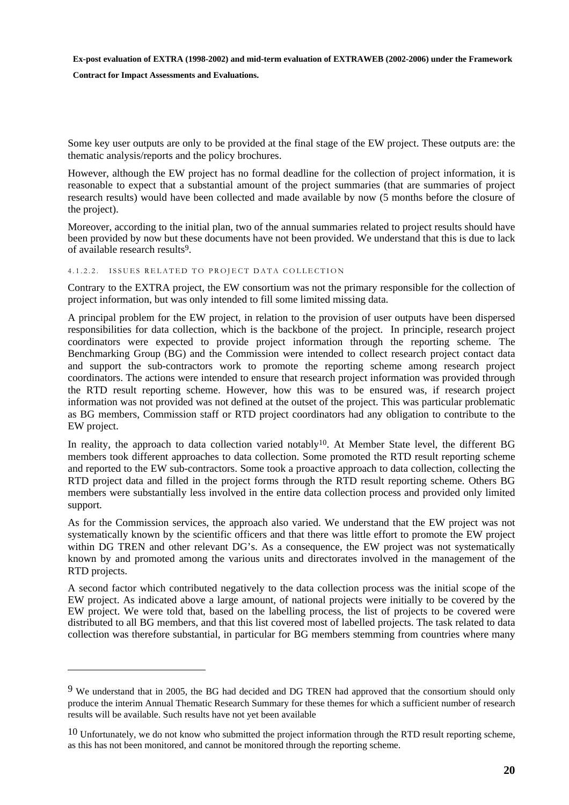**Contract for Impact Assessments and Evaluations.** 

 $\overline{a}$ 

Some key user outputs are only to be provided at the final stage of the EW project. These outputs are: the thematic analysis/reports and the policy brochures.

However, although the EW project has no formal deadline for the collection of project information, it is reasonable to expect that a substantial amount of the project summaries (that are summaries of project research results) would have been collected and made available by now (5 months before the closure of the project).

Moreover, according to the initial plan, two of the annual summaries related to project results should have been provided by now but these documents have not been provided. We understand that this is due to lack of available research results9.

#### <span id="page-19-0"></span>4.1.2.2. ISSUES RELATED TO PROJECT DATA COLLECTION

Contrary to the EXTRA project, the EW consortium was not the primary responsible for the collection of project information, but was only intended to fill some limited missing data.

A principal problem for the EW project, in relation to the provision of user outputs have been dispersed responsibilities for data collection, which is the backbone of the project. In principle, research project coordinators were expected to provide project information through the reporting scheme. The Benchmarking Group (BG) and the Commission were intended to collect research project contact data and support the sub-contractors work to promote the reporting scheme among research project coordinators. The actions were intended to ensure that research project information was provided through the RTD result reporting scheme. However, how this was to be ensured was, if research project information was not provided was not defined at the outset of the project. This was particular problematic as BG members, Commission staff or RTD project coordinators had any obligation to contribute to the EW project.

In reality, the approach to data collection varied notably<sup>10</sup>. At Member State level, the different BG members took different approaches to data collection. Some promoted the RTD result reporting scheme and reported to the EW sub-contractors. Some took a proactive approach to data collection, collecting the RTD project data and filled in the project forms through the RTD result reporting scheme. Others BG members were substantially less involved in the entire data collection process and provided only limited support.

As for the Commission services, the approach also varied. We understand that the EW project was not systematically known by the scientific officers and that there was little effort to promote the EW project within DG TREN and other relevant DG's. As a consequence, the EW project was not systematically known by and promoted among the various units and directorates involved in the management of the RTD projects.

A second factor which contributed negatively to the data collection process was the initial scope of the EW project. As indicated above a large amount, of national projects were initially to be covered by the EW project. We were told that, based on the labelling process, the list of projects to be covered were distributed to all BG members, and that this list covered most of labelled projects. The task related to data collection was therefore substantial, in particular for BG members stemming from countries where many

<sup>9</sup> We understand that in 2005, the BG had decided and DG TREN had approved that the consortium should only produce the interim Annual Thematic Research Summary for these themes for which a sufficient number of research results will be available. Such results have not yet been available

 $10$  Unfortunately, we do not know who submitted the project information through the RTD result reporting scheme, as this has not been monitored, and cannot be monitored through the reporting scheme.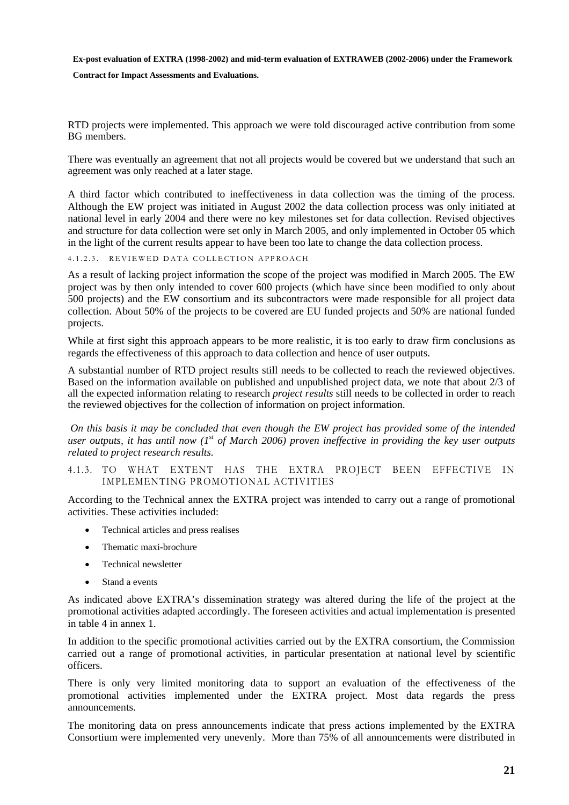**Contract for Impact Assessments and Evaluations.** 

RTD projects were implemented. This approach we were told discouraged active contribution from some BG members.

There was eventually an agreement that not all projects would be covered but we understand that such an agreement was only reached at a later stage.

A third factor which contributed to ineffectiveness in data collection was the timing of the process. Although the EW project was initiated in August 2002 the data collection process was only initiated at national level in early 2004 and there were no key milestones set for data collection. Revised objectives and structure for data collection were set only in March 2005, and only implemented in October 05 which in the light of the current results appear to have been too late to change the data collection process.

<span id="page-20-0"></span>4.1.2.3. REVIEWED DATA COLLECTION APPROACH

As a result of lacking project information the scope of the project was modified in March 2005. The EW project was by then only intended to cover 600 projects (which have since been modified to only about 500 projects) and the EW consortium and its subcontractors were made responsible for all project data collection. About 50% of the projects to be covered are EU funded projects and 50% are national funded projects.

While at first sight this approach appears to be more realistic, it is too early to draw firm conclusions as regards the effectiveness of this approach to data collection and hence of user outputs.

A substantial number of RTD project results still needs to be collected to reach the reviewed objectives. Based on the information available on published and unpublished project data, we note that about 2/3 of all the expected information relating to research *project results* still needs to be collected in order to reach the reviewed objectives for the collection of information on project information.

*On this basis it may be concluded that even though the EW project has provided some of the intended user outputs, it has until now (1st of March 2006) proven ineffective in providing the key user outputs related to project research results.* 

<span id="page-20-1"></span>4.1.3. TO WHAT EXTENT HAS THE EXTRA PROJECT BEEN EFFECTIVE IN IMPLEMENTING PROMOTIONAL ACTIVITIES

According to the Technical annex the EXTRA project was intended to carry out a range of promotional activities. These activities included:

- Technical articles and press realises
- Thematic maxi-brochure
- Technical newsletter
- Stand a events

As indicated above EXTRA's dissemination strategy was altered during the life of the project at the promotional activities adapted accordingly. The foreseen activities and actual implementation is presented in table 4 in annex 1.

In addition to the specific promotional activities carried out by the EXTRA consortium, the Commission carried out a range of promotional activities, in particular presentation at national level by scientific officers.

There is only very limited monitoring data to support an evaluation of the effectiveness of the promotional activities implemented under the EXTRA project. Most data regards the press announcements.

The monitoring data on press announcements indicate that press actions implemented by the EXTRA Consortium were implemented very unevenly. More than 75% of all announcements were distributed in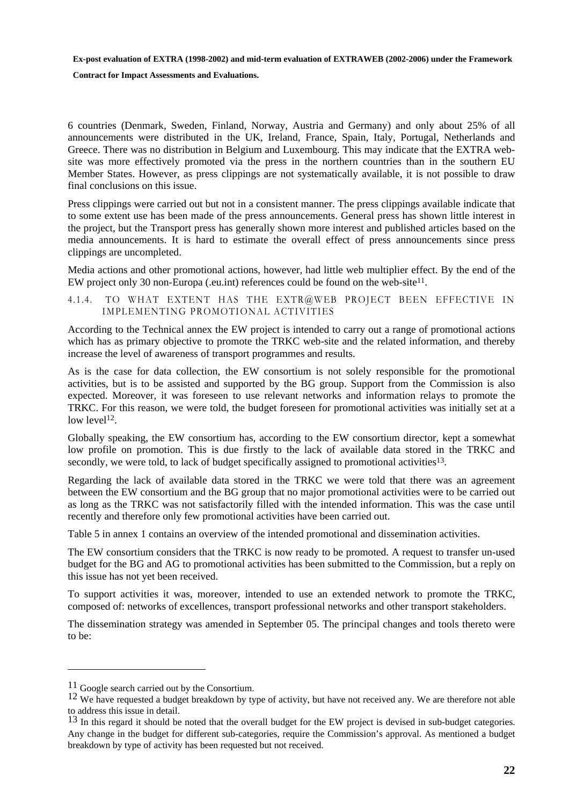**Contract for Impact Assessments and Evaluations.** 

6 countries (Denmark, Sweden, Finland, Norway, Austria and Germany) and only about 25% of all announcements were distributed in the UK, Ireland, France, Spain, Italy, Portugal, Netherlands and Greece. There was no distribution in Belgium and Luxembourg. This may indicate that the EXTRA website was more effectively promoted via the press in the northern countries than in the southern EU Member States. However, as press clippings are not systematically available, it is not possible to draw final conclusions on this issue.

Press clippings were carried out but not in a consistent manner. The press clippings available indicate that to some extent use has been made of the press announcements. General press has shown little interest in the project, but the Transport press has generally shown more interest and published articles based on the media announcements. It is hard to estimate the overall effect of press announcements since press clippings are uncompleted.

Media actions and other promotional actions, however, had little web multiplier effect. By the end of the EW project only 30 non-Europa (.eu.int) references could be found on the web-site11.

<span id="page-21-0"></span>4.1.4. TO WHAT EXTENT HAS THE EXTR@WEB PROJECT BEEN EFFECTIVE IN IMPLEMENTING PROMOTIONAL ACTIVITIES

According to the Technical annex the EW project is intended to carry out a range of promotional actions which has as primary objective to promote the TRKC web-site and the related information, and thereby increase the level of awareness of transport programmes and results.

As is the case for data collection, the EW consortium is not solely responsible for the promotional activities, but is to be assisted and supported by the BG group. Support from the Commission is also expected. Moreover, it was foreseen to use relevant networks and information relays to promote the TRKC. For this reason, we were told, the budget foreseen for promotional activities was initially set at a low level<sup>12</sup>.

Globally speaking, the EW consortium has, according to the EW consortium director, kept a somewhat low profile on promotion. This is due firstly to the lack of available data stored in the TRKC and secondly, we were told, to lack of budget specifically assigned to promotional activities<sup>13</sup>.

Regarding the lack of available data stored in the TRKC we were told that there was an agreement between the EW consortium and the BG group that no major promotional activities were to be carried out as long as the TRKC was not satisfactorily filled with the intended information. This was the case until recently and therefore only few promotional activities have been carried out.

Table 5 in annex 1 contains an overview of the intended promotional and dissemination activities.

The EW consortium considers that the TRKC is now ready to be promoted. A request to transfer un-used budget for the BG and AG to promotional activities has been submitted to the Commission, but a reply on this issue has not yet been received.

To support activities it was, moreover, intended to use an extended network to promote the TRKC, composed of: networks of excellences, transport professional networks and other transport stakeholders.

The dissemination strategy was amended in September 05. The principal changes and tools thereto were to be:

 $\overline{a}$ 

<sup>&</sup>lt;sup>11</sup> Google search carried out by the Consortium.<br><sup>12</sup> We have requested a budget breakdown by type of activity, but have not received any. We are therefore not able to address this issue in detail.

<sup>&</sup>lt;sup>13</sup> In this regard it should be noted that the overall budget for the EW project is devised in sub-budget categories. Any change in the budget for different sub-categories, require the Commission's approval. As mentioned a budget breakdown by type of activity has been requested but not received.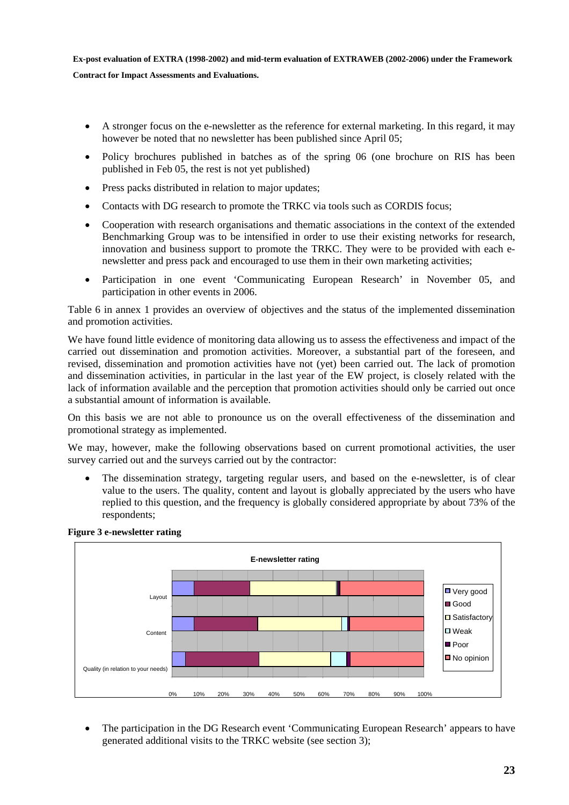- A stronger focus on the e-newsletter as the reference for external marketing. In this regard, it may however be noted that no newsletter has been published since April 05;
- Policy brochures published in batches as of the spring 06 (one brochure on RIS has been published in Feb 05, the rest is not yet published)
- Press packs distributed in relation to major updates;
- Contacts with DG research to promote the TRKC via tools such as CORDIS focus:
- Cooperation with research organisations and thematic associations in the context of the extended Benchmarking Group was to be intensified in order to use their existing networks for research, innovation and business support to promote the TRKC. They were to be provided with each enewsletter and press pack and encouraged to use them in their own marketing activities;
- Participation in one event 'Communicating European Research' in November 05, and participation in other events in 2006.

Table 6 in annex 1 provides an overview of objectives and the status of the implemented dissemination and promotion activities.

We have found little evidence of monitoring data allowing us to assess the effectiveness and impact of the carried out dissemination and promotion activities. Moreover, a substantial part of the foreseen, and revised, dissemination and promotion activities have not (yet) been carried out. The lack of promotion and dissemination activities, in particular in the last year of the EW project, is closely related with the lack of information available and the perception that promotion activities should only be carried out once a substantial amount of information is available.

On this basis we are not able to pronounce us on the overall effectiveness of the dissemination and promotional strategy as implemented.

We may, however, make the following observations based on current promotional activities, the user survey carried out and the surveys carried out by the contractor:

• The dissemination strategy, targeting regular users, and based on the e-newsletter, is of clear value to the users. The quality, content and layout is globally appreciated by the users who have replied to this question, and the frequency is globally considered appropriate by about 73% of the respondents;



#### <span id="page-22-0"></span>**Figure 3 e-newsletter rating**

• The participation in the DG Research event 'Communicating European Research' appears to have generated additional visits to the TRKC website (see section 3);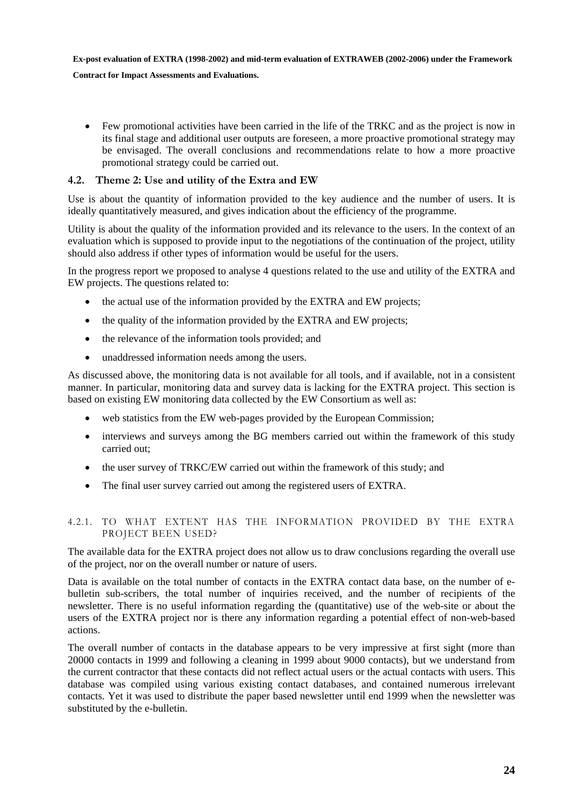**Contract for Impact Assessments and Evaluations.** 

• Few promotional activities have been carried in the life of the TRKC and as the project is now in its final stage and additional user outputs are foreseen, a more proactive promotional strategy may be envisaged. The overall conclusions and recommendations relate to how a more proactive promotional strategy could be carried out.

#### <span id="page-23-0"></span>**4.2. Theme 2: Use and utility of the Extra and EW**

Use is about the quantity of information provided to the key audience and the number of users. It is ideally quantitatively measured, and gives indication about the efficiency of the programme.

Utility is about the quality of the information provided and its relevance to the users. In the context of an evaluation which is supposed to provide input to the negotiations of the continuation of the project, utility should also address if other types of information would be useful for the users.

In the progress report we proposed to analyse 4 questions related to the use and utility of the EXTRA and EW projects. The questions related to:

- the actual use of the information provided by the EXTRA and EW projects;
- the quality of the information provided by the EXTRA and EW projects:
- the relevance of the information tools provided; and
- unaddressed information needs among the users.

As discussed above, the monitoring data is not available for all tools, and if available, not in a consistent manner. In particular, monitoring data and survey data is lacking for the EXTRA project. This section is based on existing EW monitoring data collected by the EW Consortium as well as:

- web statistics from the EW web-pages provided by the European Commission;
- interviews and surveys among the BG members carried out within the framework of this study carried out;
- the user survey of TRKC/EW carried out within the framework of this study; and
- The final user survey carried out among the registered users of EXTRA.

#### <span id="page-23-1"></span>4.2.1. TO WHAT EXTENT HAS THE INFORMATION PROVIDED BY THE EXTRA PROJECT BEEN USED?

The available data for the EXTRA project does not allow us to draw conclusions regarding the overall use of the project, nor on the overall number or nature of users.

Data is available on the total number of contacts in the EXTRA contact data base, on the number of ebulletin sub-scribers, the total number of inquiries received, and the number of recipients of the newsletter. There is no useful information regarding the (quantitative) use of the web-site or about the users of the EXTRA project nor is there any information regarding a potential effect of non-web-based actions.

The overall number of contacts in the database appears to be very impressive at first sight (more than 20000 contacts in 1999 and following a cleaning in 1999 about 9000 contacts), but we understand from the current contractor that these contacts did not reflect actual users or the actual contacts with users. This database was compiled using various existing contact databases, and contained numerous irrelevant contacts. Yet it was used to distribute the paper based newsletter until end 1999 when the newsletter was substituted by the e-bulletin.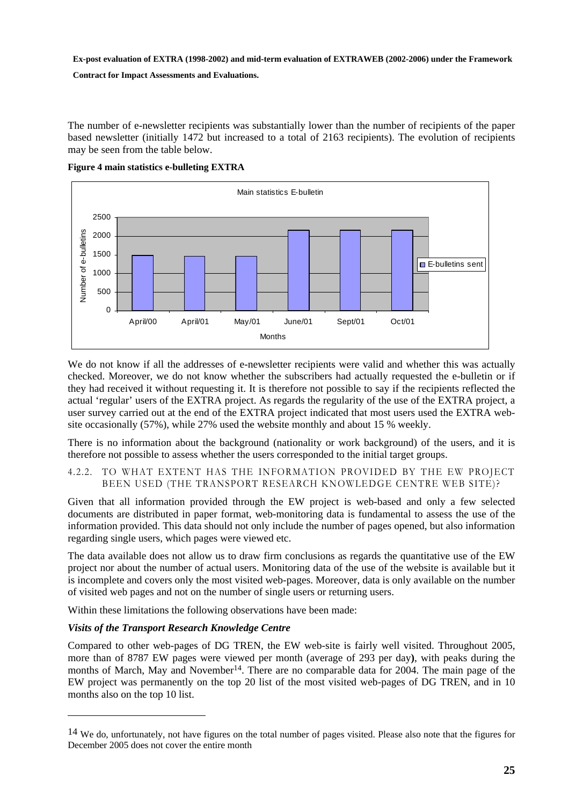**Contract for Impact Assessments and Evaluations.** 

The number of e-newsletter recipients was substantially lower than the number of recipients of the paper based newsletter (initially 1472 but increased to a total of 2163 recipients). The evolution of recipients may be seen from the table below.

**Figure 4 main statistics e-bulleting EXTRA** 

<span id="page-24-1"></span>

We do not know if all the addresses of e-newsletter recipients were valid and whether this was actually checked. Moreover, we do not know whether the subscribers had actually requested the e-bulletin or if they had received it without requesting it. It is therefore not possible to say if the recipients reflected the actual 'regular' users of the EXTRA project. As regards the regularity of the use of the EXTRA project, a user survey carried out at the end of the EXTRA project indicated that most users used the EXTRA website occasionally (57%), while 27% used the website monthly and about 15 % weekly.

There is no information about the background (nationality or work background) of the users, and it is therefore not possible to assess whether the users corresponded to the initial target groups.

#### <span id="page-24-0"></span>4.2.2. TO WHAT EXTENT HAS THE INFORMATION PROVIDED BY THE EW PROJECT BEEN USED (THE TRANSPORT RESEARCH KNOWLEDGE CENTRE WEB SITE)?

Given that all information provided through the EW project is web-based and only a few selected documents are distributed in paper format, web-monitoring data is fundamental to assess the use of the information provided. This data should not only include the number of pages opened, but also information regarding single users, which pages were viewed etc.

The data available does not allow us to draw firm conclusions as regards the quantitative use of the EW project nor about the number of actual users. Monitoring data of the use of the website is available but it is incomplete and covers only the most visited web-pages. Moreover, data is only available on the number of visited web pages and not on the number of single users or returning users.

Within these limitations the following observations have been made:

#### *Visits of the Transport Research Knowledge Centre*

Compared to other web-pages of DG TREN, the EW web-site is fairly well visited. Throughout 2005, more than of 8787 EW pages were viewed per month (average of 293 per day**)**, with peaks during the months of March, May and November<sup>14</sup>. There are no comparable data for 2004. The main page of the EW project was permanently on the top 20 list of the most visited web-pages of DG TREN, and in 10 months also on the top 10 list.

<sup>14</sup> We do, unfortunately, not have figures on the total number of pages visited. Please also note that the figures for December 2005 does not cover the entire month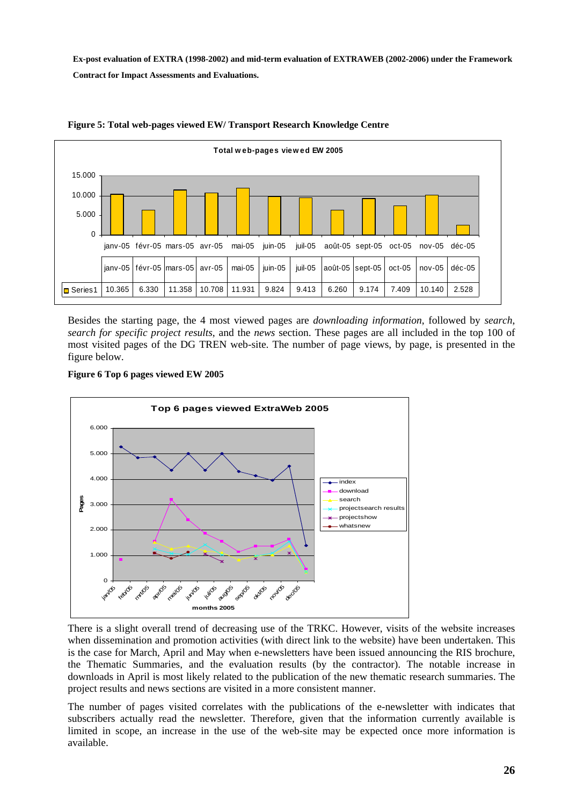<span id="page-25-0"></span>

#### **Figure 5: Total web-pages viewed EW/ Transport Research Knowledge Centre**

Besides the starting page, the 4 most viewed pages are *downloading information*, followed by *search*, *search for specific project results*, and the *news* section. These pages are all included in the top 100 of most visited pages of the DG TREN web-site. The number of page views, by page, is presented in the figure below.

<span id="page-25-1"></span>



There is a slight overall trend of decreasing use of the TRKC. However, visits of the website increases when dissemination and promotion activities (with direct link to the website) have been undertaken. This is the case for March, April and May when e-newsletters have been issued announcing the RIS brochure, the Thematic Summaries, and the evaluation results (by the contractor). The notable increase in downloads in April is most likely related to the publication of the new thematic research summaries. The project results and news sections are visited in a more consistent manner.

The number of pages visited correlates with the publications of the e-newsletter with indicates that subscribers actually read the newsletter. Therefore, given that the information currently available is limited in scope, an increase in the use of the web-site may be expected once more information is available.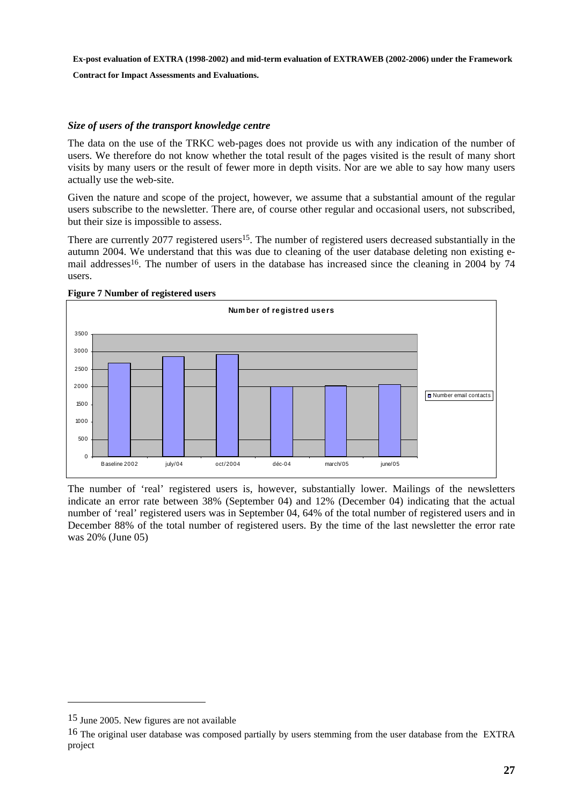**Contract for Impact Assessments and Evaluations.** 

#### *Size of users of the transport knowledge centre*

The data on the use of the TRKC web-pages does not provide us with any indication of the number of users. We therefore do not know whether the total result of the pages visited is the result of many short visits by many users or the result of fewer more in depth visits. Nor are we able to say how many users actually use the web-site.

Given the nature and scope of the project, however, we assume that a substantial amount of the regular users subscribe to the newsletter. There are, of course other regular and occasional users, not subscribed, but their size is impossible to assess.

There are currently 2077 registered users<sup>15</sup>. The number of registered users decreased substantially in the autumn 2004. We understand that this was due to cleaning of the user database deleting non existing email addresses<sup>16</sup>. The number of users in the database has increased since the cleaning in 2004 by 74 users.



#### <span id="page-26-0"></span>**Figure 7 Number of registered users**

The number of 'real' registered users is, however, substantially lower. Mailings of the newsletters indicate an error rate between 38% (September 04) and 12% (December 04) indicating that the actual number of 'real' registered users was in September 04, 64% of the total number of registered users and in December 88% of the total number of registered users. By the time of the last newsletter the error rate was 20% (June 05)

 $\overline{a}$ 

<sup>15</sup> June 2005. New figures are not available

<sup>&</sup>lt;sup>16</sup> The original user database was composed partially by users stemming from the user database from the EXTRA project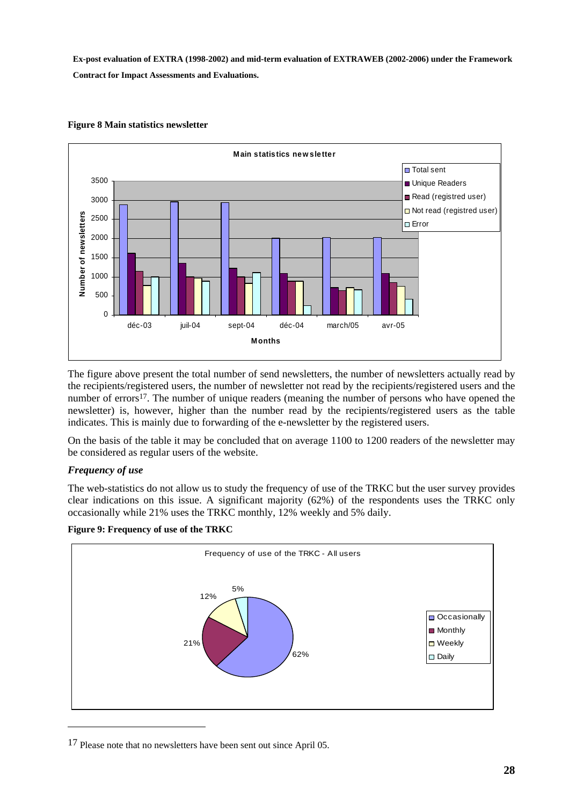<span id="page-27-0"></span>

#### **Figure 8 Main statistics newsletter**

The figure above present the total number of send newsletters, the number of newsletters actually read by the recipients/registered users, the number of newsletter not read by the recipients/registered users and the number of errors<sup>17</sup>. The number of unique readers (meaning the number of persons who have opened the newsletter) is, however, higher than the number read by the recipients/registered users as the table indicates. This is mainly due to forwarding of the e-newsletter by the registered users.

On the basis of the table it may be concluded that on average 1100 to 1200 readers of the newsletter may be considered as regular users of the website.

#### *Frequency of use*

 $\overline{a}$ 

The web-statistics do not allow us to study the frequency of use of the TRKC but the user survey provides clear indications on this issue. A significant majority (62%) of the respondents uses the TRKC only occasionally while 21% uses the TRKC monthly, 12% weekly and 5% daily.

<span id="page-27-1"></span>**Figure 9: Frequency of use of the TRKC** 



17 Please note that no newsletters have been sent out since April 05.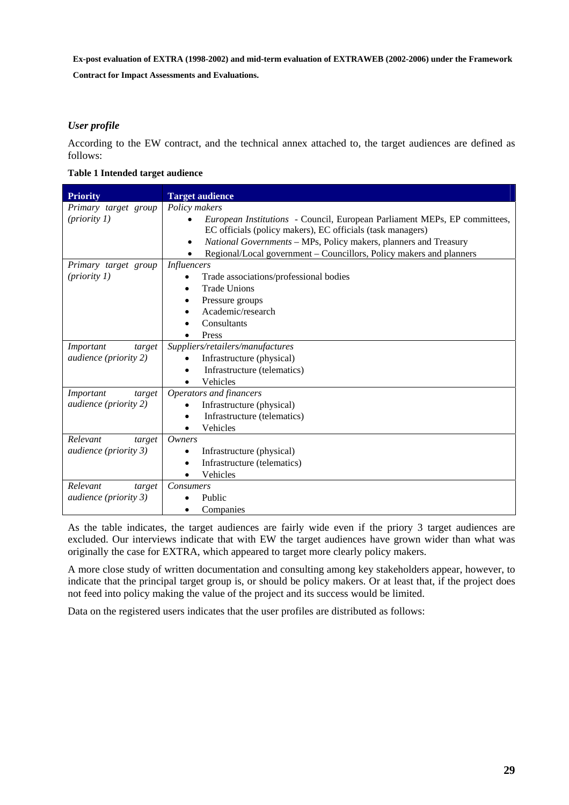**Contract for Impact Assessments and Evaluations.** 

#### *User profile*

According to the EW contract, and the technical annex attached to, the target audiences are defined as follows:

#### <span id="page-28-0"></span>**Table 1 Intended target audience**

| <b>Priority</b>                      | <b>Target audience</b>                                                        |
|--------------------------------------|-------------------------------------------------------------------------------|
| Primary target group                 | Policy makers                                                                 |
| (priority 1)                         | European Institutions - Council, European Parliament MEPs, EP committees,     |
|                                      | EC officials (policy makers), EC officials (task managers)                    |
|                                      | National Governments - MPs, Policy makers, planners and Treasury<br>$\bullet$ |
|                                      | Regional/Local government – Councillors, Policy makers and planners           |
| Primary target group                 | <b>Influencers</b>                                                            |
| (priority 1)                         | Trade associations/professional bodies<br>$\bullet$                           |
|                                      | <b>Trade Unions</b>                                                           |
|                                      | Pressure groups                                                               |
|                                      | Academic/research                                                             |
|                                      | Consultants                                                                   |
|                                      | Press                                                                         |
| Important<br>target                  | Suppliers/retailers/manufactures                                              |
| audience (priority 2)                | Infrastructure (physical)                                                     |
|                                      | Infrastructure (telematics)<br>$\bullet$                                      |
|                                      | Vehicles                                                                      |
| Important<br>target                  | Operators and financers                                                       |
| <i>audience</i> ( <i>priority</i> 2) | Infrastructure (physical)                                                     |
|                                      | Infrastructure (telematics)                                                   |
|                                      | Vehicles                                                                      |
| Relevant<br>target                   | Owners                                                                        |
| <i>audience</i> ( <i>priority</i> 3) | Infrastructure (physical)                                                     |
|                                      | Infrastructure (telematics)                                                   |
|                                      | Vehicles                                                                      |
| Relevant<br>target                   | Consumers                                                                     |
| <i>audience</i> ( <i>priority</i> 3) | Public<br>$\bullet$                                                           |
|                                      | Companies                                                                     |

As the table indicates, the target audiences are fairly wide even if the priory 3 target audiences are excluded. Our interviews indicate that with EW the target audiences have grown wider than what was originally the case for EXTRA, which appeared to target more clearly policy makers.

A more close study of written documentation and consulting among key stakeholders appear, however, to indicate that the principal target group is, or should be policy makers. Or at least that, if the project does not feed into policy making the value of the project and its success would be limited.

Data on the registered users indicates that the user profiles are distributed as follows: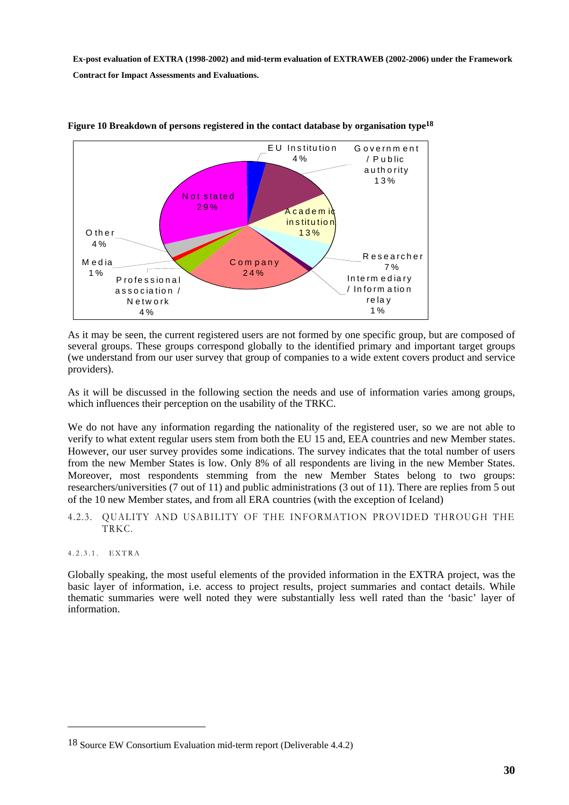<span id="page-29-2"></span>

**Figure 10 Breakdown of persons registered in the contact database by organisation type18**

As it may be seen, the current registered users are not formed by one specific group, but are composed of several groups. These groups correspond globally to the identified primary and important target groups (we understand from our user survey that group of companies to a wide extent covers product and service providers).

As it will be discussed in the following section the needs and use of information varies among groups, which influences their perception on the usability of the TRKC.

We do not have any information regarding the nationality of the registered user, so we are not able to verify to what extent regular users stem from both the EU 15 and, EEA countries and new Member states. However, our user survey provides some indications. The survey indicates that the total number of users from the new Member States is low. Only 8% of all respondents are living in the new Member States. Moreover, most respondents stemming from the new Member States belong to two groups: researchers/universities (7 out of 11) and public administrations (3 out of 11). There are replies from 5 out of the 10 new Member states, and from all ERA countries (with the exception of Iceland)

<span id="page-29-0"></span>4.2.3. QUALITY AND USABILITY OF THE INFORMATION PROVIDED THROUGH THE TRKC.

#### <span id="page-29-1"></span>4.2.3.1. EXTRA

 $\overline{a}$ 

Globally speaking, the most useful elements of the provided information in the EXTRA project, was the basic layer of information, i.e. access to project results, project summaries and contact details. While thematic summaries were well noted they were substantially less well rated than the 'basic' layer of information.

<sup>18</sup> Source EW Consortium Evaluation mid-term report (Deliverable 4.4.2)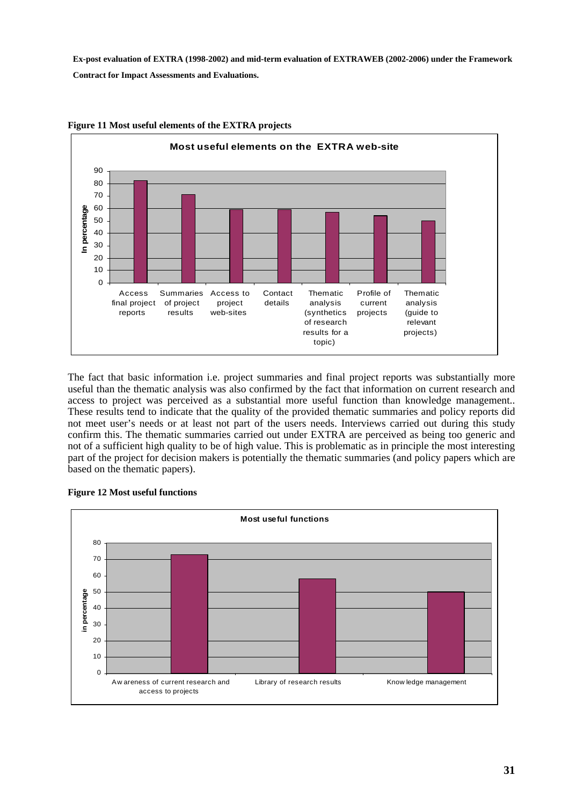

<span id="page-30-0"></span>**Figure 11 Most useful elements of the EXTRA projects** 

The fact that basic information i.e. project summaries and final project reports was substantially more useful than the thematic analysis was also confirmed by the fact that information on current research and access to project was perceived as a substantial more useful function than knowledge management.. These results tend to indicate that the quality of the provided thematic summaries and policy reports did not meet user's needs or at least not part of the users needs. Interviews carried out during this study confirm this. The thematic summaries carried out under EXTRA are perceived as being too generic and not of a sufficient high quality to be of high value. This is problematic as in principle the most interesting part of the project for decision makers is potentially the thematic summaries (and policy papers which are based on the thematic papers).

<span id="page-30-1"></span>

#### **Figure 12 Most useful functions**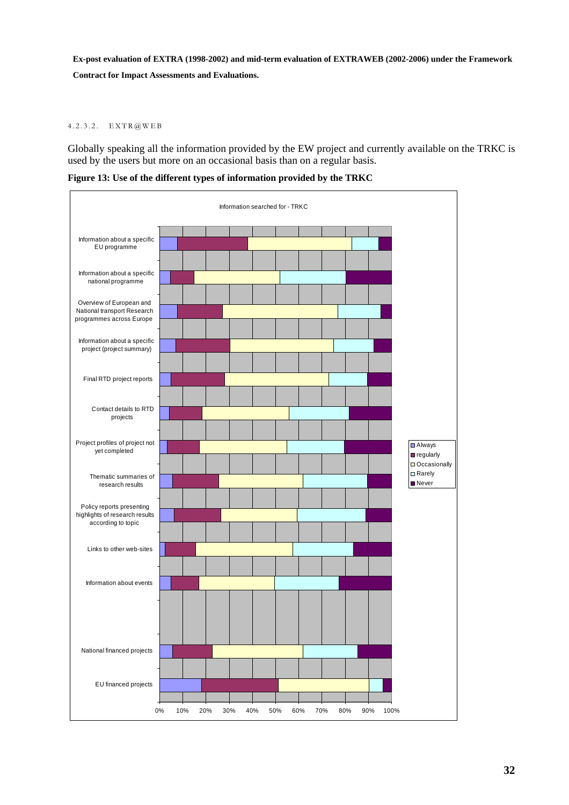#### <span id="page-31-0"></span>4.2.3.2. EXTR@WEB

Globally speaking all the information provided by the EW project and currently available on the TRKC is used by the users but more on an occasional basis than on a regular basis.

<span id="page-31-1"></span>**Figure 13: Use of the different types of information provided by the TRKC** 

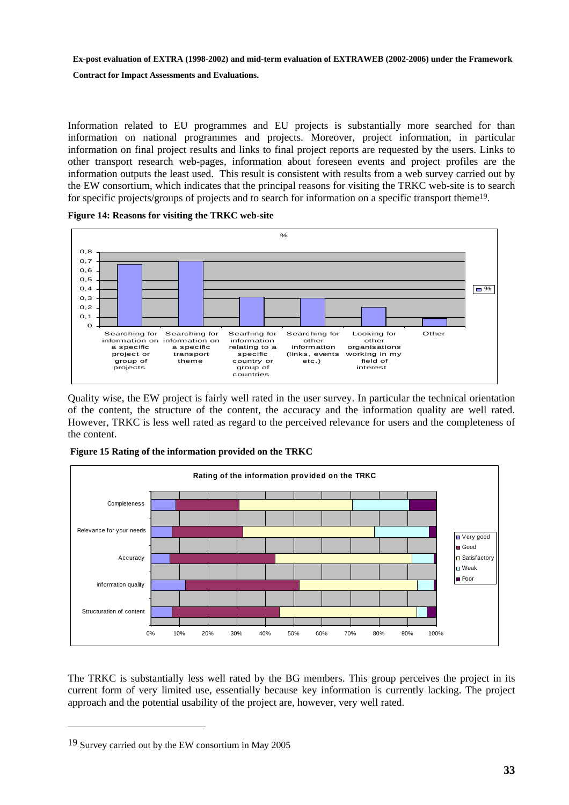**Contract for Impact Assessments and Evaluations.** 

Information related to EU programmes and EU projects is substantially more searched for than information on national programmes and projects. Moreover, project information, in particular information on final project results and links to final project reports are requested by the users. Links to other transport research web-pages, information about foreseen events and project profiles are the information outputs the least used. This result is consistent with results from a web survey carried out by the EW consortium, which indicates that the principal reasons for visiting the TRKC web-site is to search for specific projects/groups of projects and to search for information on a specific transport theme19.

<span id="page-32-0"></span>**Figure 14: Reasons for visiting the TRKC web-site** 



Quality wise, the EW project is fairly well rated in the user survey. In particular the technical orientation of the content, the structure of the content, the accuracy and the information quality are well rated. However, TRKC is less well rated as regard to the perceived relevance for users and the completeness of the content.

<span id="page-32-1"></span>

 **Figure 15 Rating of the information provided on the TRKC** 

The TRKC is substantially less well rated by the BG members. This group perceives the project in its current form of very limited use, essentially because key information is currently lacking. The project approach and the potential usability of the project are, however, very well rated.

 $\overline{a}$ 

<sup>19</sup> Survey carried out by the EW consortium in May 2005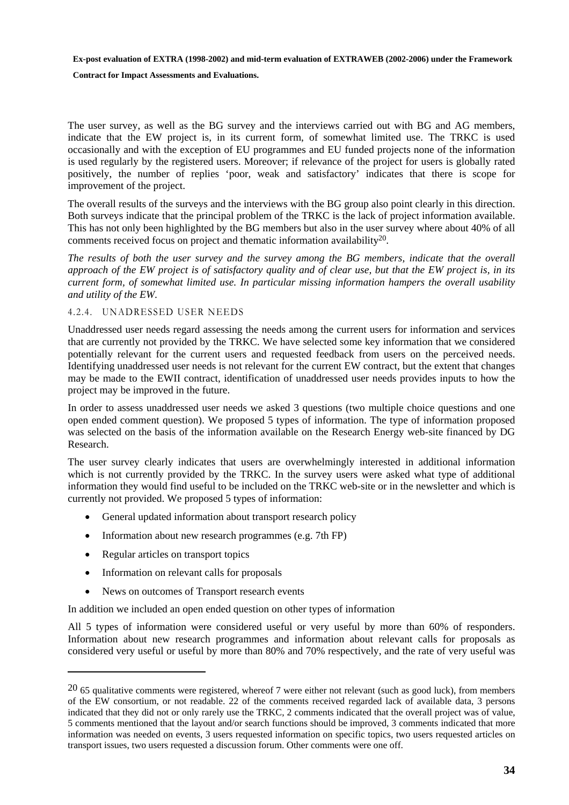**Contract for Impact Assessments and Evaluations.** 

The user survey, as well as the BG survey and the interviews carried out with BG and AG members, indicate that the EW project is, in its current form, of somewhat limited use. The TRKC is used occasionally and with the exception of EU programmes and EU funded projects none of the information is used regularly by the registered users. Moreover; if relevance of the project for users is globally rated positively, the number of replies 'poor, weak and satisfactory' indicates that there is scope for improvement of the project.

The overall results of the surveys and the interviews with the BG group also point clearly in this direction. Both surveys indicate that the principal problem of the TRKC is the lack of project information available. This has not only been highlighted by the BG members but also in the user survey where about 40% of all comments received focus on project and thematic information availability20.

*The results of both the user survey and the survey among the BG members, indicate that the overall approach of the EW project is of satisfactory quality and of clear use, but that the EW project is, in its current form, of somewhat limited use. In particular missing information hampers the overall usability and utility of the EW.* 

#### <span id="page-33-0"></span>4.2.4. UNADRESSED USER NEEDS

Unaddressed user needs regard assessing the needs among the current users for information and services that are currently not provided by the TRKC. We have selected some key information that we considered potentially relevant for the current users and requested feedback from users on the perceived needs. Identifying unaddressed user needs is not relevant for the current EW contract, but the extent that changes may be made to the EWII contract, identification of unaddressed user needs provides inputs to how the project may be improved in the future.

In order to assess unaddressed user needs we asked 3 questions (two multiple choice questions and one open ended comment question). We proposed 5 types of information. The type of information proposed was selected on the basis of the information available on the Research Energy web-site financed by DG Research.

The user survey clearly indicates that users are overwhelmingly interested in additional information which is not currently provided by the TRKC. In the survey users were asked what type of additional information they would find useful to be included on the TRKC web-site or in the newsletter and which is currently not provided. We proposed 5 types of information:

- General updated information about transport research policy
- Information about new research programmes (e.g. 7th FP)
- Regular articles on transport topics

 $\overline{a}$ 

- Information on relevant calls for proposals
- News on outcomes of Transport research events

In addition we included an open ended question on other types of information

All 5 types of information were considered useful or very useful by more than 60% of responders. Information about new research programmes and information about relevant calls for proposals as considered very useful or useful by more than 80% and 70% respectively, and the rate of very useful was

 $20\,65$  qualitative comments were registered, whereof 7 were either not relevant (such as good luck), from members of the EW consortium, or not readable. 22 of the comments received regarded lack of available data, 3 persons indicated that they did not or only rarely use the TRKC, 2 comments indicated that the overall project was of value, 5 comments mentioned that the layout and/or search functions should be improved, 3 comments indicated that more information was needed on events, 3 users requested information on specific topics, two users requested articles on transport issues, two users requested a discussion forum. Other comments were one off.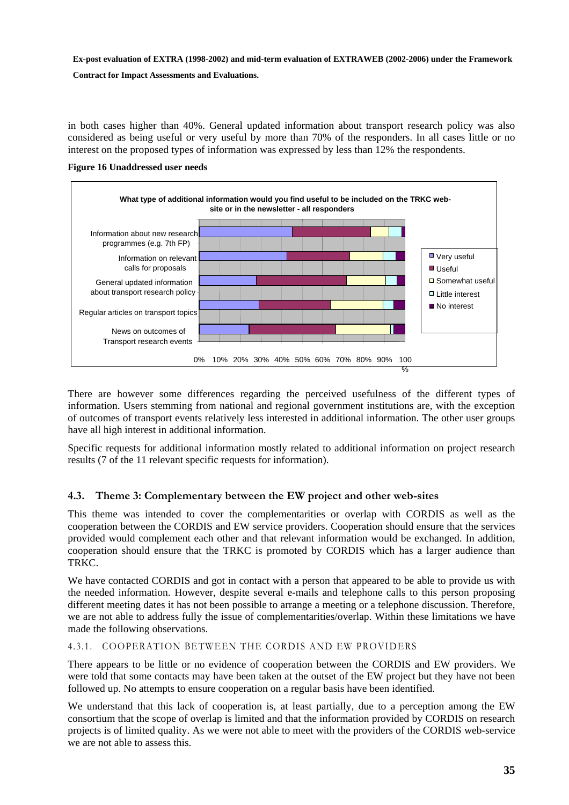**Contract for Impact Assessments and Evaluations.** 

in both cases higher than 40%. General updated information about transport research policy was also considered as being useful or very useful by more than 70% of the responders. In all cases little or no interest on the proposed types of information was expressed by less than 12% the respondents.

<span id="page-34-2"></span>



There are however some differences regarding the perceived usefulness of the different types of information. Users stemming from national and regional government institutions are, with the exception of outcomes of transport events relatively less interested in additional information. The other user groups have all high interest in additional information.

Specific requests for additional information mostly related to additional information on project research results (7 of the 11 relevant specific requests for information).

#### <span id="page-34-0"></span>**4.3. Theme 3: Complementary between the EW project and other web-sites**

This theme was intended to cover the complementarities or overlap with CORDIS as well as the cooperation between the CORDIS and EW service providers. Cooperation should ensure that the services provided would complement each other and that relevant information would be exchanged. In addition, cooperation should ensure that the TRKC is promoted by CORDIS which has a larger audience than TRKC.

We have contacted CORDIS and got in contact with a person that appeared to be able to provide us with the needed information. However, despite several e-mails and telephone calls to this person proposing different meeting dates it has not been possible to arrange a meeting or a telephone discussion. Therefore, we are not able to address fully the issue of complementarities/overlap. Within these limitations we have made the following observations.

#### <span id="page-34-1"></span>4.3.1. COOPERATION BETWEEN THE CORDIS AND EW PROVIDERS

There appears to be little or no evidence of cooperation between the CORDIS and EW providers. We were told that some contacts may have been taken at the outset of the EW project but they have not been followed up. No attempts to ensure cooperation on a regular basis have been identified.

We understand that this lack of cooperation is, at least partially, due to a perception among the EW consortium that the scope of overlap is limited and that the information provided by CORDIS on research projects is of limited quality. As we were not able to meet with the providers of the CORDIS web-service we are not able to assess this.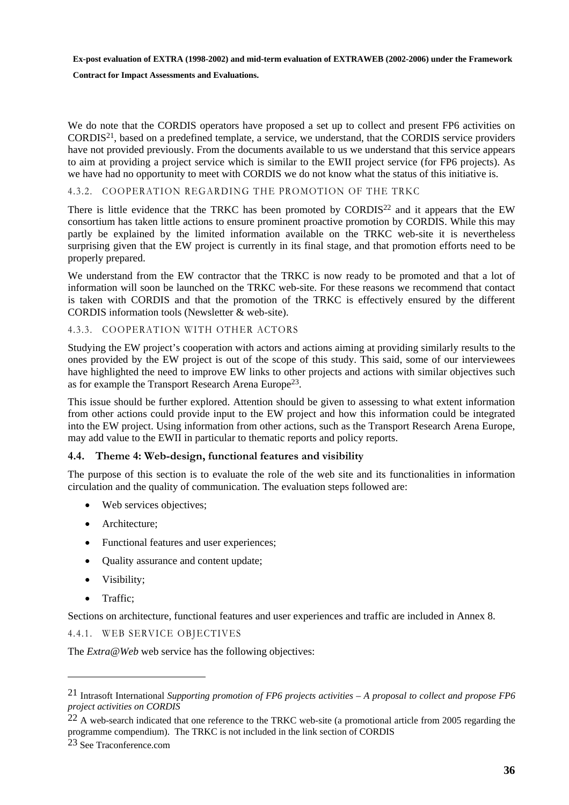#### **Contract for Impact Assessments and Evaluations.**

We do note that the CORDIS operators have proposed a set up to collect and present FP6 activities on CORDIS21, based on a predefined template, a service, we understand, that the CORDIS service providers have not provided previously. From the documents available to us we understand that this service appears to aim at providing a project service which is similar to the EWII project service (for FP6 projects). As we have had no opportunity to meet with CORDIS we do not know what the status of this initiative is.

#### <span id="page-35-0"></span>4.3.2. COOPERATION REGARDING THE PROMOTION OF THE TRKC

There is little evidence that the TRKC has been promoted by CORDIS22 and it appears that the EW consortium has taken little actions to ensure prominent proactive promotion by CORDIS. While this may partly be explained by the limited information available on the TRKC web-site it is nevertheless surprising given that the EW project is currently in its final stage, and that promotion efforts need to be properly prepared.

We understand from the EW contractor that the TRKC is now ready to be promoted and that a lot of information will soon be launched on the TRKC web-site. For these reasons we recommend that contact is taken with CORDIS and that the promotion of the TRKC is effectively ensured by the different CORDIS information tools (Newsletter & web-site).

#### <span id="page-35-1"></span>4.3.3. COOPERATION WITH OTHER ACTORS

Studying the EW project's cooperation with actors and actions aiming at providing similarly results to the ones provided by the EW project is out of the scope of this study. This said, some of our interviewees have highlighted the need to improve EW links to other projects and actions with similar objectives such as for example the Transport Research Arena Europe23.

This issue should be further explored. Attention should be given to assessing to what extent information from other actions could provide input to the EW project and how this information could be integrated into the EW project. Using information from other actions, such as the Transport Research Arena Europe, may add value to the EWII in particular to thematic reports and policy reports.

#### <span id="page-35-2"></span>**4.4. Theme 4: Web-design, functional features and visibility**

The purpose of this section is to evaluate the role of the web site and its functionalities in information circulation and the quality of communication. The evaluation steps followed are:

- Web services objectives;
- Architecture:
- Functional features and user experiences;
- Ouality assurance and content update;
- Visibility;
- Traffic:

 $\overline{a}$ 

<span id="page-35-3"></span>Sections on architecture, functional features and user experiences and traffic are included in Annex 8.

4.4.1. WEB SERVICE OBJECTIVES

The *Extra*@*Web* web service has the following objectives:

<sup>21</sup> Intrasoft International *Supporting promotion of FP6 projects activities – A proposal to collect and propose FP6 project activities on CORDIS*

 $22$  A web-search indicated that one reference to the TRKC web-site (a promotional article from 2005 regarding the programme compendium). The TRKC is not included in the link section of CORDIS

<sup>23</sup> See Traconference.com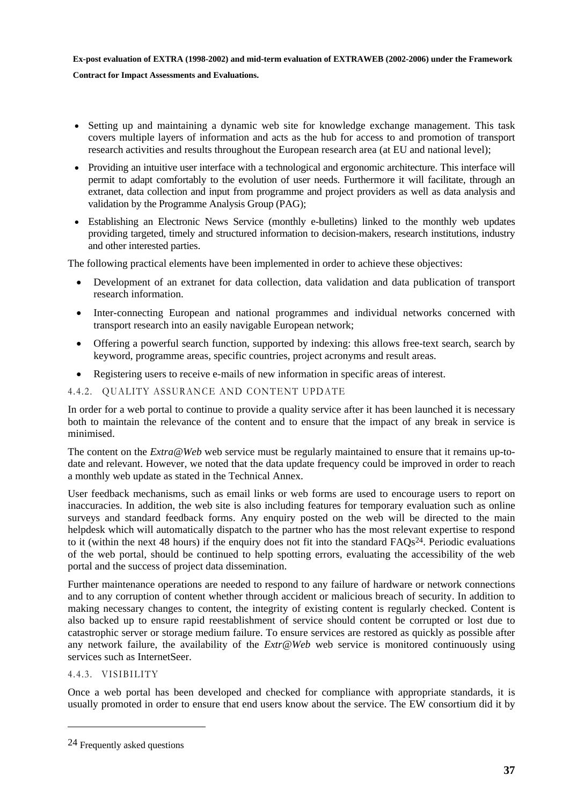#### **Contract for Impact Assessments and Evaluations.**

- Setting up and maintaining a dynamic web site for knowledge exchange management. This task covers multiple layers of information and acts as the hub for access to and promotion of transport research activities and results throughout the European research area (at EU and national level);
- Providing an intuitive user interface with a technological and ergonomic architecture. This interface will permit to adapt comfortably to the evolution of user needs. Furthermore it will facilitate, through an extranet, data collection and input from programme and project providers as well as data analysis and validation by the Programme Analysis Group (PAG);
- Establishing an Electronic News Service (monthly e-bulletins) linked to the monthly web updates providing targeted, timely and structured information to decision-makers, research institutions, industry and other interested parties.

The following practical elements have been implemented in order to achieve these objectives:

- Development of an extranet for data collection, data validation and data publication of transport research information.
- Inter-connecting European and national programmes and individual networks concerned with transport research into an easily navigable European network;
- Offering a powerful search function, supported by indexing: this allows free-text search, search by keyword, programme areas, specific countries, project acronyms and result areas.
- Registering users to receive e-mails of new information in specific areas of interest.

#### <span id="page-36-0"></span>4.4.2. QUALITY ASSURANCE AND CONTENT UPDATE

In order for a web portal to continue to provide a quality service after it has been launched it is necessary both to maintain the relevance of the content and to ensure that the impact of any break in service is minimised.

The content on the *Extra@Web* web service must be regularly maintained to ensure that it remains up-todate and relevant. However, we noted that the data update frequency could be improved in order to reach a monthly web update as stated in the Technical Annex.

User feedback mechanisms, such as email links or web forms are used to encourage users to report on inaccuracies. In addition, the web site is also including features for temporary evaluation such as online surveys and standard feedback forms. Any enquiry posted on the web will be directed to the main helpdesk which will automatically dispatch to the partner who has the most relevant expertise to respond to it (within the next 48 hours) if the enquiry does not fit into the standard  $FAOs<sup>24</sup>$ . Periodic evaluations of the web portal, should be continued to help spotting errors, evaluating the accessibility of the web portal and the success of project data dissemination.

Further maintenance operations are needed to respond to any failure of hardware or network connections and to any corruption of content whether through accident or malicious breach of security. In addition to making necessary changes to content, the integrity of existing content is regularly checked. Content is also backed up to ensure rapid reestablishment of service should content be corrupted or lost due to catastrophic server or storage medium failure. To ensure services are restored as quickly as possible after any network failure, the availability of the *Extr@Web* web service is monitored continuously using services such as InternetSeer.

<span id="page-36-1"></span>4.4.3. VISIBILITY

 $\overline{a}$ 

Once a web portal has been developed and checked for compliance with appropriate standards, it is usually promoted in order to ensure that end users know about the service. The EW consortium did it by

<sup>24</sup> Frequently asked questions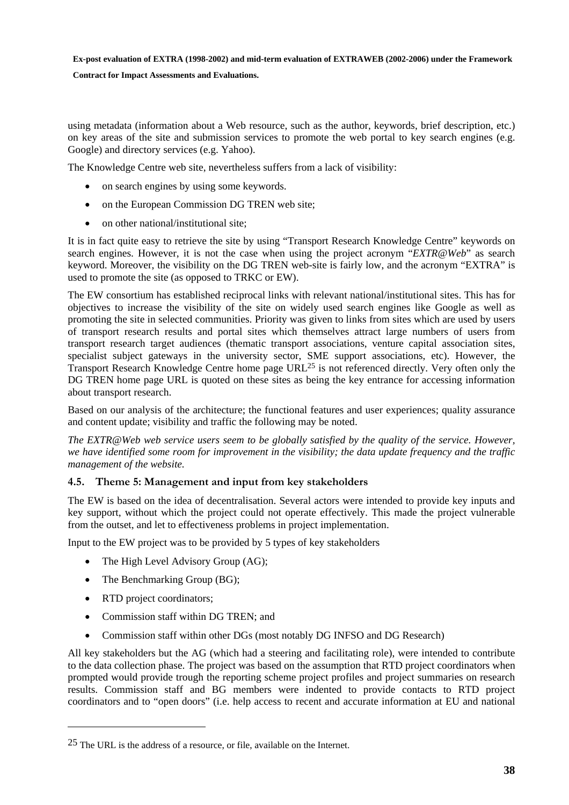#### **Contract for Impact Assessments and Evaluations.**

using metadata (information about a Web resource, such as the author, keywords, brief description, etc.) on key areas of the site and submission services to promote the web portal to key search engines (e.g. Google) and directory services (e.g. Yahoo).

The Knowledge Centre web site, nevertheless suffers from a lack of visibility:

- on search engines by using some keywords.
- on the European Commission DG TREN web site:
- on other national/institutional site:

It is in fact quite easy to retrieve the site by using "Transport Research Knowledge Centre" keywords on search engines. However, it is not the case when using the project acronym "*EXTR@Web*" as search keyword. Moreover, the visibility on the DG TREN web-site is fairly low, and the acronym "EXTRA" is used to promote the site (as opposed to TRKC or EW).

The EW consortium has established reciprocal links with relevant national/institutional sites. This has for objectives to increase the visibility of the site on widely used search engines like Google as well as promoting the site in selected communities. Priority was given to links from sites which are used by users of transport research results and portal sites which themselves attract large numbers of users from transport research target audiences (thematic transport associations, venture capital association sites, specialist subject gateways in the university sector, SME support associations, etc). However, the Transport Research Knowledge Centre home page URL25 is not referenced directly. Very often only the DG TREN home page URL is quoted on these sites as being the key entrance for accessing information about transport research.

Based on our analysis of the architecture; the functional features and user experiences; quality assurance and content update; visibility and traffic the following may be noted.

*The EXTR@Web web service users seem to be globally satisfied by the quality of the service. However, we have identified some room for improvement in the visibility; the data update frequency and the traffic management of the website.* 

#### <span id="page-37-0"></span>**4.5. Theme 5: Management and input from key stakeholders**

The EW is based on the idea of decentralisation. Several actors were intended to provide key inputs and key support, without which the project could not operate effectively. This made the project vulnerable from the outset, and let to effectiveness problems in project implementation.

Input to the EW project was to be provided by 5 types of key stakeholders

- The High Level Advisory Group (AG);
- The Benchmarking Group (BG);
- RTD project coordinators;

 $\overline{a}$ 

- Commission staff within DG TREN; and
- Commission staff within other DGs (most notably DG INFSO and DG Research)

All key stakeholders but the AG (which had a steering and facilitating role), were intended to contribute to the data collection phase. The project was based on the assumption that RTD project coordinators when prompted would provide trough the reporting scheme project profiles and project summaries on research results. Commission staff and BG members were indented to provide contacts to RTD project coordinators and to "open doors" (i.e. help access to recent and accurate information at EU and national

<sup>25</sup> The URL is the address of a resource, or file, available on the Internet.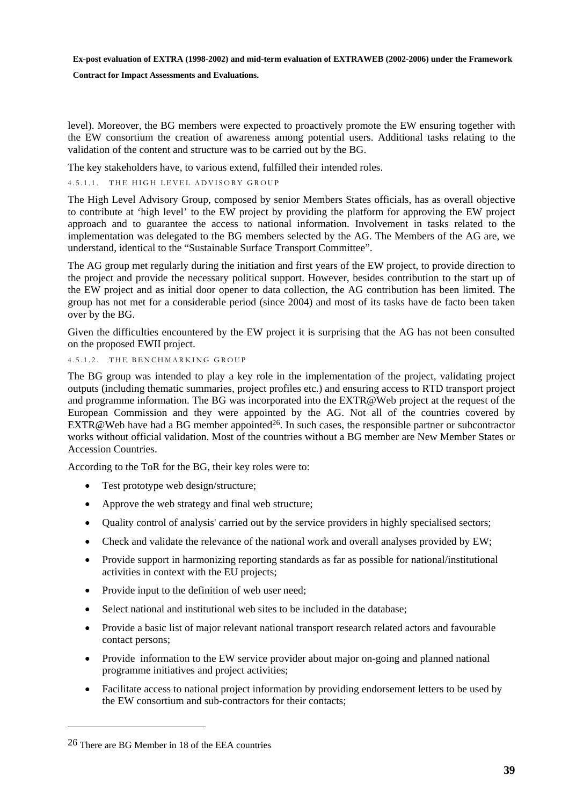#### **Contract for Impact Assessments and Evaluations.**

level). Moreover, the BG members were expected to proactively promote the EW ensuring together with the EW consortium the creation of awareness among potential users. Additional tasks relating to the validation of the content and structure was to be carried out by the BG.

The key stakeholders have, to various extend, fulfilled their intended roles.

#### <span id="page-38-0"></span>4.5.1.1. THE HIGH LEVEL ADVISORY GROUP

The High Level Advisory Group, composed by senior Members States officials, has as overall objective to contribute at 'high level' to the EW project by providing the platform for approving the EW project approach and to guarantee the access to national information. Involvement in tasks related to the implementation was delegated to the BG members selected by the AG. The Members of the AG are, we understand, identical to the "Sustainable Surface Transport Committee".

The AG group met regularly during the initiation and first years of the EW project, to provide direction to the project and provide the necessary political support. However, besides contribution to the start up of the EW project and as initial door opener to data collection, the AG contribution has been limited. The group has not met for a considerable period (since 2004) and most of its tasks have de facto been taken over by the BG.

Given the difficulties encountered by the EW project it is surprising that the AG has not been consulted on the proposed EWII project.

#### <span id="page-38-1"></span>4.5.1.2. THE BENCHMARKING GROUP

The BG group was intended to play a key role in the implementation of the project, validating project outputs (including thematic summaries, project profiles etc.) and ensuring access to RTD transport project and programme information. The BG was incorporated into the EXTR@Web project at the request of the European Commission and they were appointed by the AG. Not all of the countries covered by  $EXTR@Web$  have had a BG member appointed<sup>26</sup>. In such cases, the responsible partner or subcontractor works without official validation. Most of the countries without a BG member are New Member States or Accession Countries.

According to the ToR for the BG, their key roles were to:

- Test prototype web design/structure;
- Approve the web strategy and final web structure;
- Ouality control of analysis' carried out by the service providers in highly specialised sectors;
- Check and validate the relevance of the national work and overall analyses provided by EW;
- Provide support in harmonizing reporting standards as far as possible for national/institutional activities in context with the EU projects;
- Provide input to the definition of web user need;
- Select national and institutional web sites to be included in the database;
- Provide a basic list of major relevant national transport research related actors and favourable contact persons;
- Provide information to the EW service provider about major on-going and planned national programme initiatives and project activities;
- Facilitate access to national project information by providing endorsement letters to be used by the EW consortium and sub-contractors for their contacts;

 $\overline{a}$ 

<sup>26</sup> There are BG Member in 18 of the EEA countries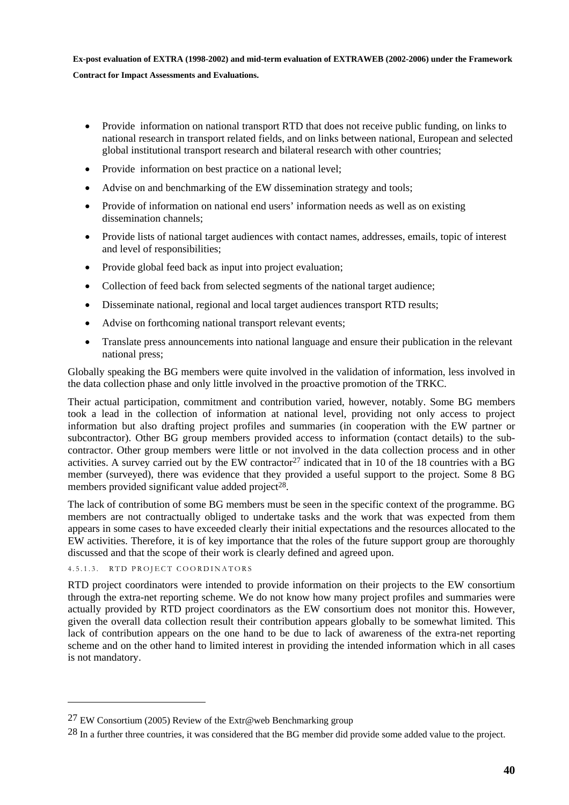- Provide information on national transport RTD that does not receive public funding, on links to national research in transport related fields, and on links between national, European and selected global institutional transport research and bilateral research with other countries;
- Provide information on best practice on a national level;
- Advise on and benchmarking of the EW dissemination strategy and tools;
- Provide of information on national end users' information needs as well as on existing dissemination channels;
- Provide lists of national target audiences with contact names, addresses, emails, topic of interest and level of responsibilities;
- Provide global feed back as input into project evaluation;
- Collection of feed back from selected segments of the national target audience;
- Disseminate national, regional and local target audiences transport RTD results;
- Advise on forthcoming national transport relevant events;
- Translate press announcements into national language and ensure their publication in the relevant national press;

Globally speaking the BG members were quite involved in the validation of information, less involved in the data collection phase and only little involved in the proactive promotion of the TRKC.

Their actual participation, commitment and contribution varied, however, notably. Some BG members took a lead in the collection of information at national level, providing not only access to project information but also drafting project profiles and summaries (in cooperation with the EW partner or subcontractor). Other BG group members provided access to information (contact details) to the subcontractor. Other group members were little or not involved in the data collection process and in other activities. A survey carried out by the EW contractor<sup>27</sup> indicated that in 10 of the 18 countries with a BG member (surveyed), there was evidence that they provided a useful support to the project. Some 8 BG members provided significant value added project $28$ .

The lack of contribution of some BG members must be seen in the specific context of the programme. BG members are not contractually obliged to undertake tasks and the work that was expected from them appears in some cases to have exceeded clearly their initial expectations and the resources allocated to the EW activities. Therefore, it is of key importance that the roles of the future support group are thoroughly discussed and that the scope of their work is clearly defined and agreed upon.

<span id="page-39-0"></span>4.5.1.3. RTD PROJECT COORDINATORS

 $\overline{a}$ 

RTD project coordinators were intended to provide information on their projects to the EW consortium through the extra-net reporting scheme. We do not know how many project profiles and summaries were actually provided by RTD project coordinators as the EW consortium does not monitor this. However, given the overall data collection result their contribution appears globally to be somewhat limited. This lack of contribution appears on the one hand to be due to lack of awareness of the extra-net reporting scheme and on the other hand to limited interest in providing the intended information which in all cases is not mandatory.

<sup>&</sup>lt;sup>27</sup> EW Consortium (2005) Review of the Extr@web Benchmarking group

<sup>28</sup> In a further three countries, it was considered that the BG member did provide some added value to the project.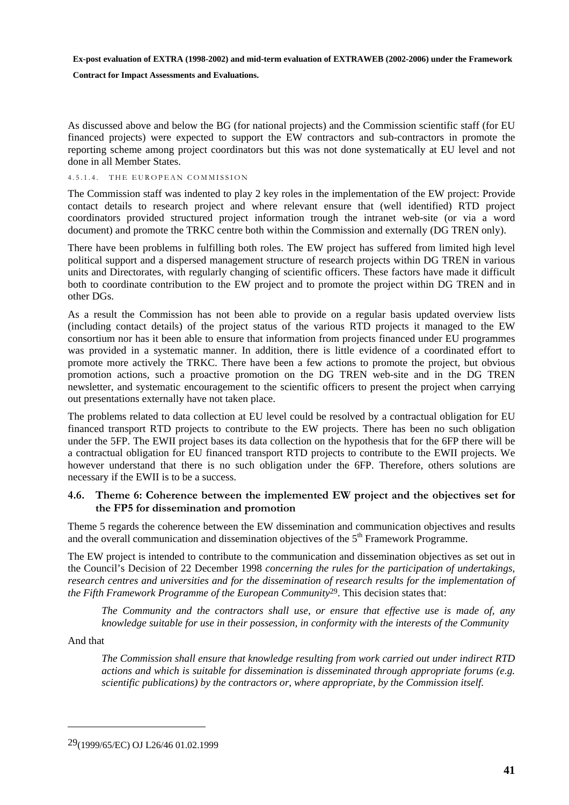#### **Contract for Impact Assessments and Evaluations.**

As discussed above and below the BG (for national projects) and the Commission scientific staff (for EU financed projects) were expected to support the EW contractors and sub-contractors in promote the reporting scheme among project coordinators but this was not done systematically at EU level and not done in all Member States.

#### <span id="page-40-0"></span>4.5.1.4. THE EUROPEAN COMMISSION

The Commission staff was indented to play 2 key roles in the implementation of the EW project: Provide contact details to research project and where relevant ensure that (well identified) RTD project coordinators provided structured project information trough the intranet web-site (or via a word document) and promote the TRKC centre both within the Commission and externally (DG TREN only).

There have been problems in fulfilling both roles. The EW project has suffered from limited high level political support and a dispersed management structure of research projects within DG TREN in various units and Directorates, with regularly changing of scientific officers. These factors have made it difficult both to coordinate contribution to the EW project and to promote the project within DG TREN and in other DGs.

As a result the Commission has not been able to provide on a regular basis updated overview lists (including contact details) of the project status of the various RTD projects it managed to the EW consortium nor has it been able to ensure that information from projects financed under EU programmes was provided in a systematic manner. In addition, there is little evidence of a coordinated effort to promote more actively the TRKC. There have been a few actions to promote the project, but obvious promotion actions, such a proactive promotion on the DG TREN web-site and in the DG TREN newsletter, and systematic encouragement to the scientific officers to present the project when carrying out presentations externally have not taken place.

The problems related to data collection at EU level could be resolved by a contractual obligation for EU financed transport RTD projects to contribute to the EW projects. There has been no such obligation under the 5FP. The EWII project bases its data collection on the hypothesis that for the 6FP there will be a contractual obligation for EU financed transport RTD projects to contribute to the EWII projects. We however understand that there is no such obligation under the 6FP. Therefore, others solutions are necessary if the EWII is to be a success.

#### <span id="page-40-1"></span>**4.6. Theme 6: Coherence between the implemented EW project and the objectives set for the FP5 for dissemination and promotion**

Theme 5 regards the coherence between the EW dissemination and communication objectives and results and the overall communication and dissemination objectives of the  $5<sup>th</sup>$  Framework Programme.

The EW project is intended to contribute to the communication and dissemination objectives as set out in the Council's Decision of 22 December 1998 *concerning the rules for the participation of undertakings, research centres and universities and for the dissemination of research results for the implementation of the Fifth Framework Programme of the European Community*29. This decision states that:

*The Community and the contractors shall use, or ensure that effective use is made of, any knowledge suitable for use in their possession, in conformity with the interests of the Community* 

And that

 $\overline{a}$ 

*The Commission shall ensure that knowledge resulting from work carried out under indirect RTD actions and which is suitable for dissemination is disseminated through appropriate forums (e.g. scientific publications) by the contractors or, where appropriate, by the Commission itself.* 

<sup>29(1999/65/</sup>EC) OJ L26/46 01.02.1999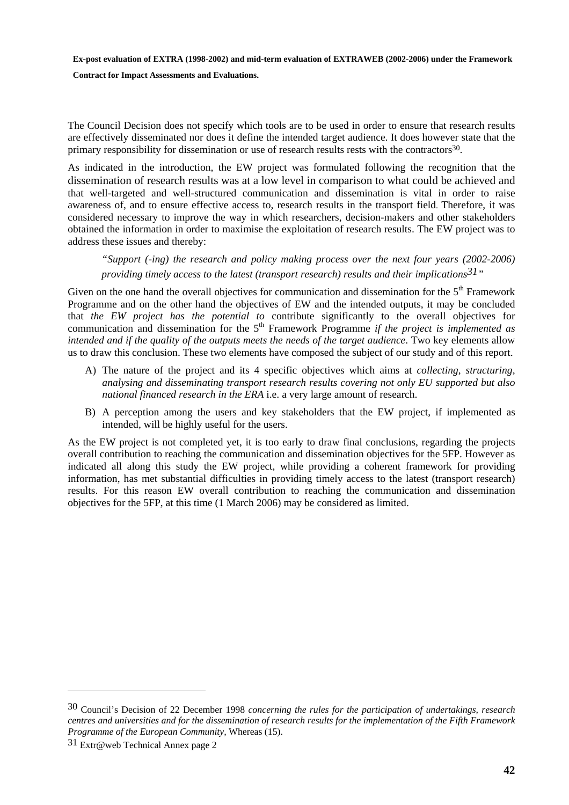**Contract for Impact Assessments and Evaluations.** 

The Council Decision does not specify which tools are to be used in order to ensure that research results are effectively disseminated nor does it define the intended target audience. It does however state that the primary responsibility for dissemination or use of research results rests with the contractors30.

As indicated in the introduction, the EW project was formulated following the recognition that the dissemination of research results was at a low level in comparison to what could be achieved and that well-targeted and well-structured communication and dissemination is vital in order to raise awareness of, and to ensure effective access to, research results in the transport field. Therefore, it was considered necessary to improve the way in which researchers, decision-makers and other stakeholders obtained the information in order to maximise the exploitation of research results. The EW project was to address these issues and thereby:

*"Support (-ing) the research and policy making process over the next four years (2002-2006) providing timely access to the latest (transport research) results and their implications31"* 

Given on the one hand the overall objectives for communication and dissemination for the 5<sup>th</sup> Framework Programme and on the other hand the objectives of EW and the intended outputs, it may be concluded that *the EW project has the potential to* contribute significantly to the overall objectives for communication and dissemination for the 5<sup>th</sup> Framework Programme *if the project is implemented as intended and if the quality of the outputs meets the needs of the target audience*. Two key elements allow us to draw this conclusion. These two elements have composed the subject of our study and of this report.

- A) The nature of the project and its 4 specific objectives which aims at *collecting, structuring, analysing and disseminating transport research results covering not only EU supported but also national financed research in the ERA* i.e. a very large amount of research.
- B) A perception among the users and key stakeholders that the EW project, if implemented as intended, will be highly useful for the users.

As the EW project is not completed yet, it is too early to draw final conclusions, regarding the projects overall contribution to reaching the communication and dissemination objectives for the 5FP. However as indicated all along this study the EW project, while providing a coherent framework for providing information, has met substantial difficulties in providing timely access to the latest (transport research) results. For this reason EW overall contribution to reaching the communication and dissemination objectives for the 5FP, at this time (1 March 2006) may be considered as limited.

 $\overline{a}$ 

<sup>30</sup> Council's Decision of 22 December 1998 *concerning the rules for the participation of undertakings, research centres and universities and for the dissemination of research results for the implementation of the Fifth Framework Programme of the European Community,* Whereas (15).

<sup>31</sup> Extr@web Technical Annex page 2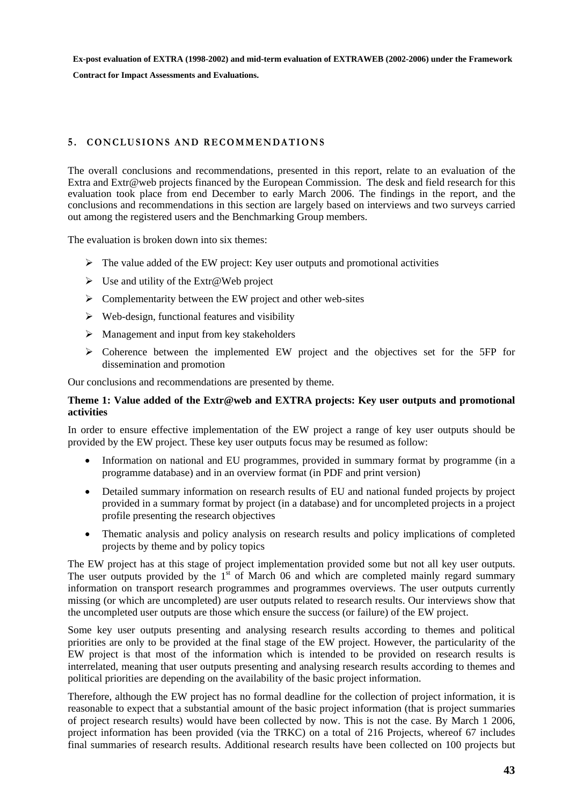**Contract for Impact Assessments and Evaluations.** 

#### <span id="page-42-0"></span>**5 . CONCLUSIONS AND RECOMMENDATIONS**

The overall conclusions and recommendations, presented in this report, relate to an evaluation of the Extra and Extr@web projects financed by the European Commission. The desk and field research for this evaluation took place from end December to early March 2006. The findings in the report, and the conclusions and recommendations in this section are largely based on interviews and two surveys carried out among the registered users and the Benchmarking Group members.

The evaluation is broken down into six themes:

- $\triangleright$  The value added of the EW project: Key user outputs and promotional activities
- $\triangleright$  Use and utility of the Extr@Web project
- $\triangleright$  Complementarity between the EW project and other web-sites
- $\triangleright$  Web-design, functional features and visibility
- $\triangleright$  Management and input from key stakeholders
- $\triangleright$  Coherence between the implemented EW project and the objectives set for the 5FP for dissemination and promotion

Our conclusions and recommendations are presented by theme.

#### **Theme 1: Value added of the Extr@web and EXTRA projects: Key user outputs and promotional activities**

In order to ensure effective implementation of the EW project a range of key user outputs should be provided by the EW project. These key user outputs focus may be resumed as follow:

- Information on national and EU programmes, provided in summary format by programme (in a programme database) and in an overview format (in PDF and print version)
- Detailed summary information on research results of EU and national funded projects by project provided in a summary format by project (in a database) and for uncompleted projects in a project profile presenting the research objectives
- Thematic analysis and policy analysis on research results and policy implications of completed projects by theme and by policy topics

The EW project has at this stage of project implementation provided some but not all key user outputs. The user outputs provided by the  $1<sup>st</sup>$  of March 06 and which are completed mainly regard summary information on transport research programmes and programmes overviews. The user outputs currently missing (or which are uncompleted) are user outputs related to research results. Our interviews show that the uncompleted user outputs are those which ensure the success (or failure) of the EW project.

Some key user outputs presenting and analysing research results according to themes and political priorities are only to be provided at the final stage of the EW project. However, the particularity of the EW project is that most of the information which is intended to be provided on research results is interrelated, meaning that user outputs presenting and analysing research results according to themes and political priorities are depending on the availability of the basic project information.

Therefore, although the EW project has no formal deadline for the collection of project information, it is reasonable to expect that a substantial amount of the basic project information (that is project summaries of project research results) would have been collected by now. This is not the case. By March 1 2006, project information has been provided (via the TRKC) on a total of 216 Projects, whereof 67 includes final summaries of research results. Additional research results have been collected on 100 projects but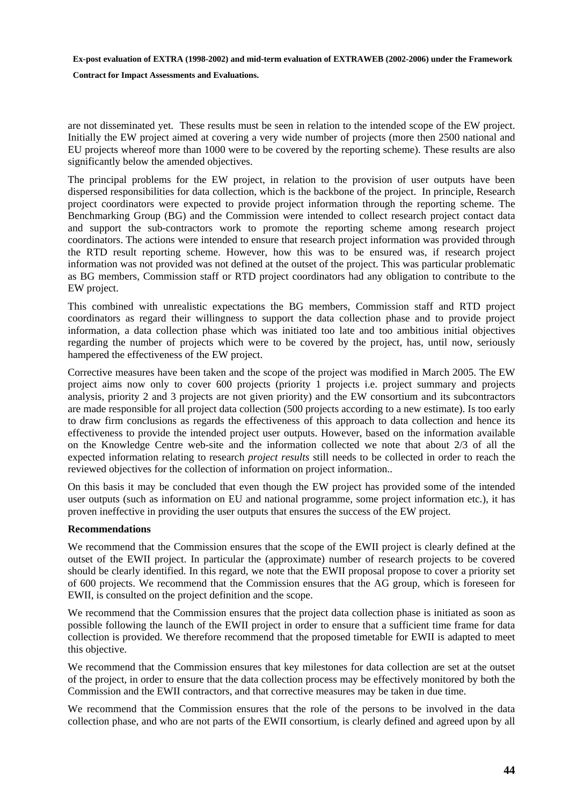**Contract for Impact Assessments and Evaluations.** 

are not disseminated yet. These results must be seen in relation to the intended scope of the EW project. Initially the EW project aimed at covering a very wide number of projects (more then 2500 national and EU projects whereof more than 1000 were to be covered by the reporting scheme). These results are also significantly below the amended objectives.

The principal problems for the EW project, in relation to the provision of user outputs have been dispersed responsibilities for data collection, which is the backbone of the project. In principle, Research project coordinators were expected to provide project information through the reporting scheme. The Benchmarking Group (BG) and the Commission were intended to collect research project contact data and support the sub-contractors work to promote the reporting scheme among research project coordinators. The actions were intended to ensure that research project information was provided through the RTD result reporting scheme. However, how this was to be ensured was, if research project information was not provided was not defined at the outset of the project. This was particular problematic as BG members, Commission staff or RTD project coordinators had any obligation to contribute to the EW project.

This combined with unrealistic expectations the BG members, Commission staff and RTD project coordinators as regard their willingness to support the data collection phase and to provide project information, a data collection phase which was initiated too late and too ambitious initial objectives regarding the number of projects which were to be covered by the project, has, until now, seriously hampered the effectiveness of the EW project.

Corrective measures have been taken and the scope of the project was modified in March 2005. The EW project aims now only to cover 600 projects (priority 1 projects i.e. project summary and projects analysis, priority 2 and 3 projects are not given priority) and the EW consortium and its subcontractors are made responsible for all project data collection (500 projects according to a new estimate). Is too early to draw firm conclusions as regards the effectiveness of this approach to data collection and hence its effectiveness to provide the intended project user outputs. However, based on the information available on the Knowledge Centre web-site and the information collected we note that about 2/3 of all the expected information relating to research *project results* still needs to be collected in order to reach the reviewed objectives for the collection of information on project information..

On this basis it may be concluded that even though the EW project has provided some of the intended user outputs (such as information on EU and national programme, some project information etc.), it has proven ineffective in providing the user outputs that ensures the success of the EW project.

#### **Recommendations**

We recommend that the Commission ensures that the scope of the EWII project is clearly defined at the outset of the EWII project. In particular the (approximate) number of research projects to be covered should be clearly identified. In this regard, we note that the EWII proposal propose to cover a priority set of 600 projects. We recommend that the Commission ensures that the AG group, which is foreseen for EWII, is consulted on the project definition and the scope.

We recommend that the Commission ensures that the project data collection phase is initiated as soon as possible following the launch of the EWII project in order to ensure that a sufficient time frame for data collection is provided. We therefore recommend that the proposed timetable for EWII is adapted to meet this objective.

We recommend that the Commission ensures that key milestones for data collection are set at the outset of the project, in order to ensure that the data collection process may be effectively monitored by both the Commission and the EWII contractors, and that corrective measures may be taken in due time.

We recommend that the Commission ensures that the role of the persons to be involved in the data collection phase, and who are not parts of the EWII consortium, is clearly defined and agreed upon by all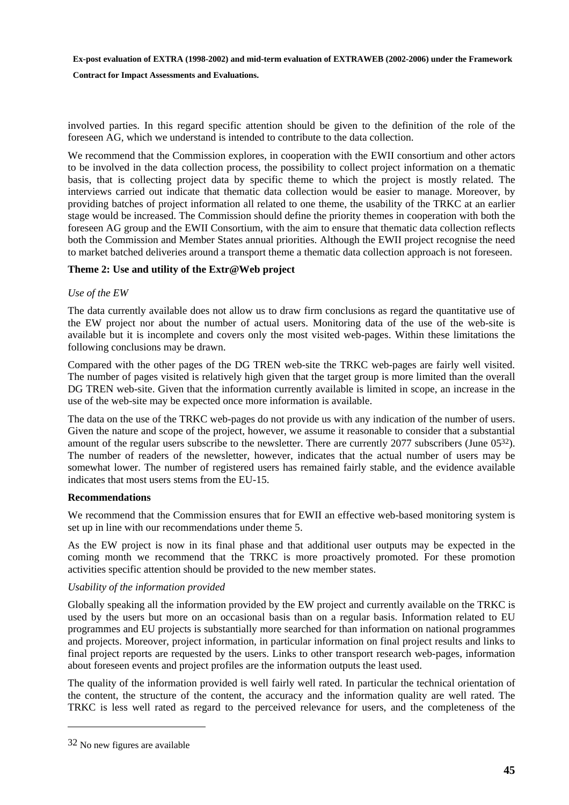**Contract for Impact Assessments and Evaluations.** 

involved parties. In this regard specific attention should be given to the definition of the role of the foreseen AG, which we understand is intended to contribute to the data collection.

We recommend that the Commission explores, in cooperation with the EWII consortium and other actors to be involved in the data collection process, the possibility to collect project information on a thematic basis, that is collecting project data by specific theme to which the project is mostly related. The interviews carried out indicate that thematic data collection would be easier to manage. Moreover, by providing batches of project information all related to one theme, the usability of the TRKC at an earlier stage would be increased. The Commission should define the priority themes in cooperation with both the foreseen AG group and the EWII Consortium, with the aim to ensure that thematic data collection reflects both the Commission and Member States annual priorities. Although the EWII project recognise the need to market batched deliveries around a transport theme a thematic data collection approach is not foreseen.

#### **Theme 2: Use and utility of the Extr@Web project**

#### *Use of the EW*

The data currently available does not allow us to draw firm conclusions as regard the quantitative use of the EW project nor about the number of actual users. Monitoring data of the use of the web-site is available but it is incomplete and covers only the most visited web-pages. Within these limitations the following conclusions may be drawn.

Compared with the other pages of the DG TREN web-site the TRKC web-pages are fairly well visited. The number of pages visited is relatively high given that the target group is more limited than the overall DG TREN web-site. Given that the information currently available is limited in scope, an increase in the use of the web-site may be expected once more information is available.

The data on the use of the TRKC web-pages do not provide us with any indication of the number of users. Given the nature and scope of the project, however, we assume it reasonable to consider that a substantial amount of the regular users subscribe to the newsletter. There are currently 2077 subscribers (June 0532). The number of readers of the newsletter, however, indicates that the actual number of users may be somewhat lower. The number of registered users has remained fairly stable, and the evidence available indicates that most users stems from the EU-15.

#### **Recommendations**

We recommend that the Commission ensures that for EWII an effective web-based monitoring system is set up in line with our recommendations under theme 5.

As the EW project is now in its final phase and that additional user outputs may be expected in the coming month we recommend that the TRKC is more proactively promoted. For these promotion activities specific attention should be provided to the new member states.

#### *Usability of the information provided*

Globally speaking all the information provided by the EW project and currently available on the TRKC is used by the users but more on an occasional basis than on a regular basis. Information related to EU programmes and EU projects is substantially more searched for than information on national programmes and projects. Moreover, project information, in particular information on final project results and links to final project reports are requested by the users. Links to other transport research web-pages, information about foreseen events and project profiles are the information outputs the least used.

The quality of the information provided is well fairly well rated. In particular the technical orientation of the content, the structure of the content, the accuracy and the information quality are well rated. The TRKC is less well rated as regard to the perceived relevance for users, and the completeness of the

 $\overline{a}$ 

<sup>32</sup> No new figures are available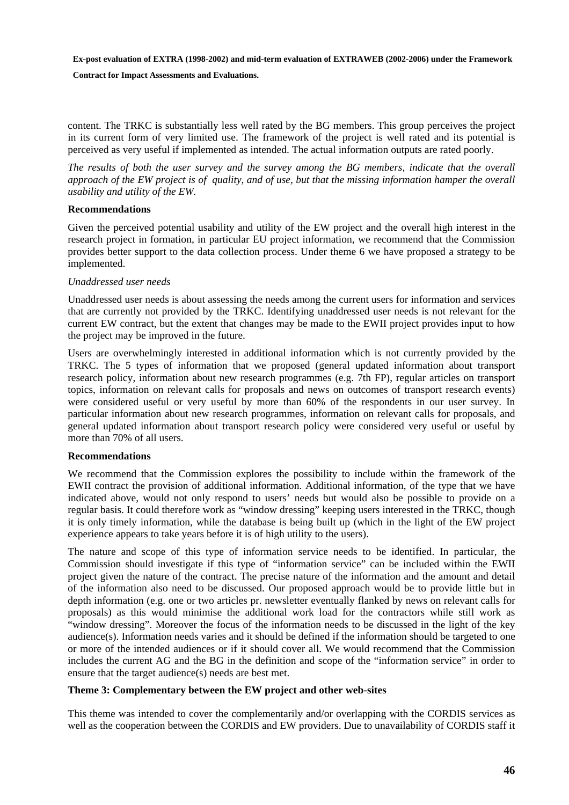**Contract for Impact Assessments and Evaluations.** 

content. The TRKC is substantially less well rated by the BG members. This group perceives the project in its current form of very limited use. The framework of the project is well rated and its potential is perceived as very useful if implemented as intended. The actual information outputs are rated poorly.

*The results of both the user survey and the survey among the BG members, indicate that the overall approach of the EW project is of quality, and of use, but that the missing information hamper the overall usability and utility of the EW.* 

#### **Recommendations**

Given the perceived potential usability and utility of the EW project and the overall high interest in the research project in formation, in particular EU project information, we recommend that the Commission provides better support to the data collection process. Under theme 6 we have proposed a strategy to be implemented.

#### *Unaddressed user needs*

Unaddressed user needs is about assessing the needs among the current users for information and services that are currently not provided by the TRKC. Identifying unaddressed user needs is not relevant for the current EW contract, but the extent that changes may be made to the EWII project provides input to how the project may be improved in the future.

Users are overwhelmingly interested in additional information which is not currently provided by the TRKC. The 5 types of information that we proposed (general updated information about transport research policy, information about new research programmes (e.g. 7th FP), regular articles on transport topics, information on relevant calls for proposals and news on outcomes of transport research events) were considered useful or very useful by more than 60% of the respondents in our user survey. In particular information about new research programmes, information on relevant calls for proposals, and general updated information about transport research policy were considered very useful or useful by more than 70% of all users.

#### **Recommendations**

We recommend that the Commission explores the possibility to include within the framework of the EWII contract the provision of additional information. Additional information, of the type that we have indicated above, would not only respond to users' needs but would also be possible to provide on a regular basis. It could therefore work as "window dressing" keeping users interested in the TRKC, though it is only timely information, while the database is being built up (which in the light of the EW project experience appears to take years before it is of high utility to the users).

The nature and scope of this type of information service needs to be identified. In particular, the Commission should investigate if this type of "information service" can be included within the EWII project given the nature of the contract. The precise nature of the information and the amount and detail of the information also need to be discussed. Our proposed approach would be to provide little but in depth information (e.g. one or two articles pr. newsletter eventually flanked by news on relevant calls for proposals) as this would minimise the additional work load for the contractors while still work as "window dressing". Moreover the focus of the information needs to be discussed in the light of the key audience(s). Information needs varies and it should be defined if the information should be targeted to one or more of the intended audiences or if it should cover all. We would recommend that the Commission includes the current AG and the BG in the definition and scope of the "information service" in order to ensure that the target audience(s) needs are best met.

#### **Theme 3: Complementary between the EW project and other web-sites**

This theme was intended to cover the complementarily and/or overlapping with the CORDIS services as well as the cooperation between the CORDIS and EW providers. Due to unavailability of CORDIS staff it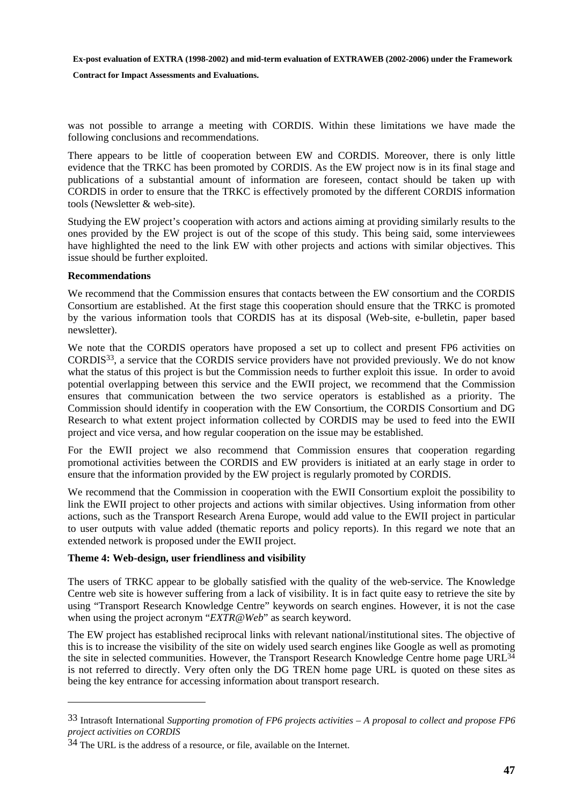**Contract for Impact Assessments and Evaluations.** 

was not possible to arrange a meeting with CORDIS. Within these limitations we have made the following conclusions and recommendations.

There appears to be little of cooperation between EW and CORDIS. Moreover, there is only little evidence that the TRKC has been promoted by CORDIS. As the EW project now is in its final stage and publications of a substantial amount of information are foreseen, contact should be taken up with CORDIS in order to ensure that the TRKC is effectively promoted by the different CORDIS information tools (Newsletter & web-site).

Studying the EW project's cooperation with actors and actions aiming at providing similarly results to the ones provided by the EW project is out of the scope of this study. This being said, some interviewees have highlighted the need to the link EW with other projects and actions with similar objectives. This issue should be further exploited.

#### **Recommendations**

 $\overline{a}$ 

We recommend that the Commission ensures that contacts between the EW consortium and the CORDIS Consortium are established. At the first stage this cooperation should ensure that the TRKC is promoted by the various information tools that CORDIS has at its disposal (Web-site, e-bulletin, paper based newsletter).

We note that the CORDIS operators have proposed a set up to collect and present FP6 activities on CORDIS33, a service that the CORDIS service providers have not provided previously. We do not know what the status of this project is but the Commission needs to further exploit this issue. In order to avoid potential overlapping between this service and the EWII project, we recommend that the Commission ensures that communication between the two service operators is established as a priority. The Commission should identify in cooperation with the EW Consortium, the CORDIS Consortium and DG Research to what extent project information collected by CORDIS may be used to feed into the EWII project and vice versa, and how regular cooperation on the issue may be established.

For the EWII project we also recommend that Commission ensures that cooperation regarding promotional activities between the CORDIS and EW providers is initiated at an early stage in order to ensure that the information provided by the EW project is regularly promoted by CORDIS.

We recommend that the Commission in cooperation with the EWII Consortium exploit the possibility to link the EWII project to other projects and actions with similar objectives. Using information from other actions, such as the Transport Research Arena Europe, would add value to the EWII project in particular to user outputs with value added (thematic reports and policy reports). In this regard we note that an extended network is proposed under the EWII project.

#### **Theme 4: Web-design, user friendliness and visibility**

The users of TRKC appear to be globally satisfied with the quality of the web-service. The Knowledge Centre web site is however suffering from a lack of visibility. It is in fact quite easy to retrieve the site by using "Transport Research Knowledge Centre" keywords on search engines. However, it is not the case when using the project acronym "*EXTR@Web*" as search keyword.

The EW project has established reciprocal links with relevant national/institutional sites. The objective of this is to increase the visibility of the site on widely used search engines like Google as well as promoting the site in selected communities. However, the Transport Research Knowledge Centre home page URL<sup>34</sup> is not referred to directly. Very often only the DG TREN home page URL is quoted on these sites as being the key entrance for accessing information about transport research.

<sup>33</sup> Intrasoft International *Supporting promotion of FP6 projects activities – A proposal to collect and propose FP6 project activities on CORDIS*

 $34$  The URL is the address of a resource, or file, available on the Internet.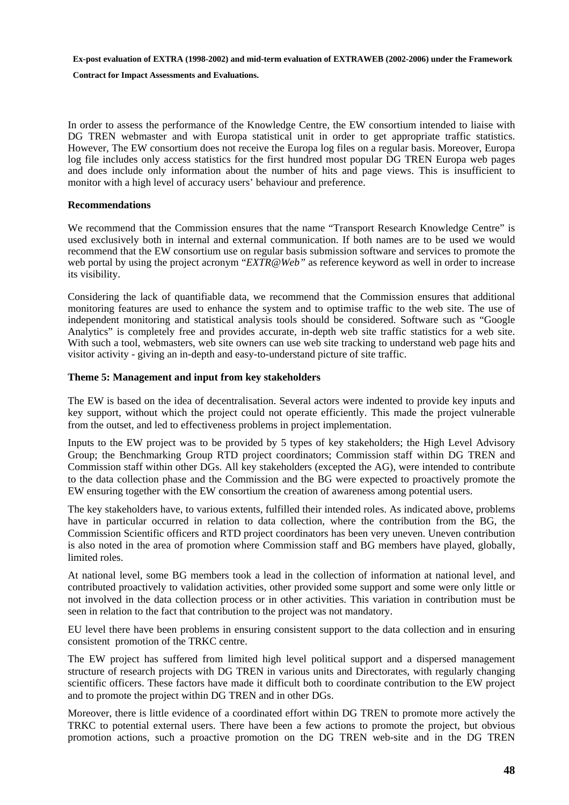**Contract for Impact Assessments and Evaluations.** 

In order to assess the performance of the Knowledge Centre, the EW consortium intended to liaise with DG TREN webmaster and with Europa statistical unit in order to get appropriate traffic statistics. However, The EW consortium does not receive the Europa log files on a regular basis. Moreover, Europa log file includes only access statistics for the first hundred most popular DG TREN Europa web pages and does include only information about the number of hits and page views. This is insufficient to monitor with a high level of accuracy users' behaviour and preference.

#### **Recommendations**

We recommend that the Commission ensures that the name "Transport Research Knowledge Centre" is used exclusively both in internal and external communication. If both names are to be used we would recommend that the EW consortium use on regular basis submission software and services to promote the web portal by using the project acronym "*EXTR@Web"* as reference keyword as well in order to increase its visibility.

Considering the lack of quantifiable data, we recommend that the Commission ensures that additional monitoring features are used to enhance the system and to optimise traffic to the web site. The use of independent monitoring and statistical analysis tools should be considered. Software such as "Google Analytics" is completely free and provides accurate, in-depth web site traffic statistics for a web site. With such a tool, webmasters, web site owners can use web site tracking to understand web page hits and visitor activity - giving an in-depth and easy-to-understand picture of site traffic.

#### **Theme 5: Management and input from key stakeholders**

The EW is based on the idea of decentralisation. Several actors were indented to provide key inputs and key support, without which the project could not operate efficiently. This made the project vulnerable from the outset, and led to effectiveness problems in project implementation.

Inputs to the EW project was to be provided by 5 types of key stakeholders; the High Level Advisory Group; the Benchmarking Group RTD project coordinators; Commission staff within DG TREN and Commission staff within other DGs. All key stakeholders (excepted the AG), were intended to contribute to the data collection phase and the Commission and the BG were expected to proactively promote the EW ensuring together with the EW consortium the creation of awareness among potential users.

The key stakeholders have, to various extents, fulfilled their intended roles. As indicated above, problems have in particular occurred in relation to data collection, where the contribution from the BG, the Commission Scientific officers and RTD project coordinators has been very uneven. Uneven contribution is also noted in the area of promotion where Commission staff and BG members have played, globally, limited roles.

At national level, some BG members took a lead in the collection of information at national level, and contributed proactively to validation activities, other provided some support and some were only little or not involved in the data collection process or in other activities. This variation in contribution must be seen in relation to the fact that contribution to the project was not mandatory.

EU level there have been problems in ensuring consistent support to the data collection and in ensuring consistent promotion of the TRKC centre.

The EW project has suffered from limited high level political support and a dispersed management structure of research projects with DG TREN in various units and Directorates, with regularly changing scientific officers. These factors have made it difficult both to coordinate contribution to the EW project and to promote the project within DG TREN and in other DGs.

Moreover, there is little evidence of a coordinated effort within DG TREN to promote more actively the TRKC to potential external users. There have been a few actions to promote the project, but obvious promotion actions, such a proactive promotion on the DG TREN web-site and in the DG TREN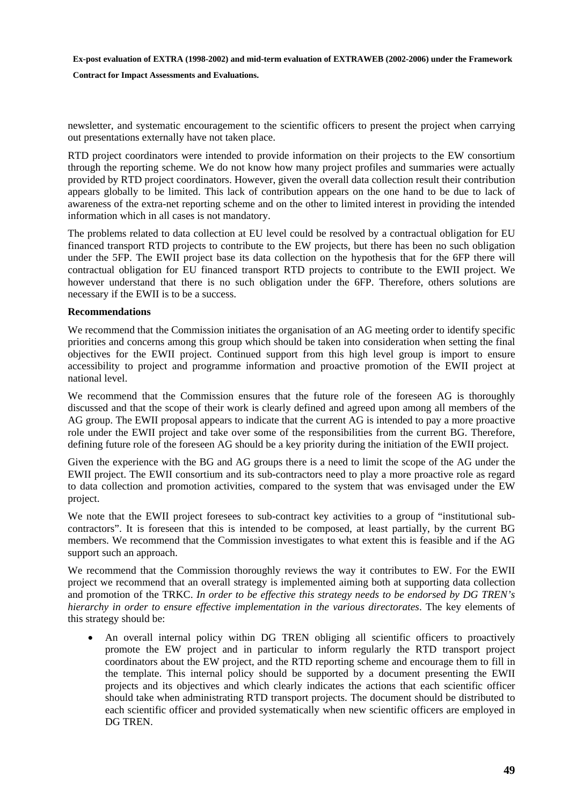**Contract for Impact Assessments and Evaluations.** 

newsletter, and systematic encouragement to the scientific officers to present the project when carrying out presentations externally have not taken place.

RTD project coordinators were intended to provide information on their projects to the EW consortium through the reporting scheme. We do not know how many project profiles and summaries were actually provided by RTD project coordinators. However, given the overall data collection result their contribution appears globally to be limited. This lack of contribution appears on the one hand to be due to lack of awareness of the extra-net reporting scheme and on the other to limited interest in providing the intended information which in all cases is not mandatory.

The problems related to data collection at EU level could be resolved by a contractual obligation for EU financed transport RTD projects to contribute to the EW projects, but there has been no such obligation under the 5FP. The EWII project base its data collection on the hypothesis that for the 6FP there will contractual obligation for EU financed transport RTD projects to contribute to the EWII project. We however understand that there is no such obligation under the 6FP. Therefore, others solutions are necessary if the EWII is to be a success.

#### **Recommendations**

We recommend that the Commission initiates the organisation of an AG meeting order to identify specific priorities and concerns among this group which should be taken into consideration when setting the final objectives for the EWII project. Continued support from this high level group is import to ensure accessibility to project and programme information and proactive promotion of the EWII project at national level.

We recommend that the Commission ensures that the future role of the foreseen AG is thoroughly discussed and that the scope of their work is clearly defined and agreed upon among all members of the AG group. The EWII proposal appears to indicate that the current AG is intended to pay a more proactive role under the EWII project and take over some of the responsibilities from the current BG. Therefore, defining future role of the foreseen AG should be a key priority during the initiation of the EWII project.

Given the experience with the BG and AG groups there is a need to limit the scope of the AG under the EWII project. The EWII consortium and its sub-contractors need to play a more proactive role as regard to data collection and promotion activities, compared to the system that was envisaged under the EW project.

We note that the EWII project foresees to sub-contract key activities to a group of "institutional subcontractors". It is foreseen that this is intended to be composed, at least partially, by the current BG members. We recommend that the Commission investigates to what extent this is feasible and if the AG support such an approach.

We recommend that the Commission thoroughly reviews the way it contributes to EW. For the EWII project we recommend that an overall strategy is implemented aiming both at supporting data collection and promotion of the TRKC. *In order to be effective this strategy needs to be endorsed by DG TREN's hierarchy in order to ensure effective implementation in the various directorates*. The key elements of this strategy should be:

• An overall internal policy within DG TREN obliging all scientific officers to proactively promote the EW project and in particular to inform regularly the RTD transport project coordinators about the EW project, and the RTD reporting scheme and encourage them to fill in the template. This internal policy should be supported by a document presenting the EWII projects and its objectives and which clearly indicates the actions that each scientific officer should take when administrating RTD transport projects. The document should be distributed to each scientific officer and provided systematically when new scientific officers are employed in DG TREN.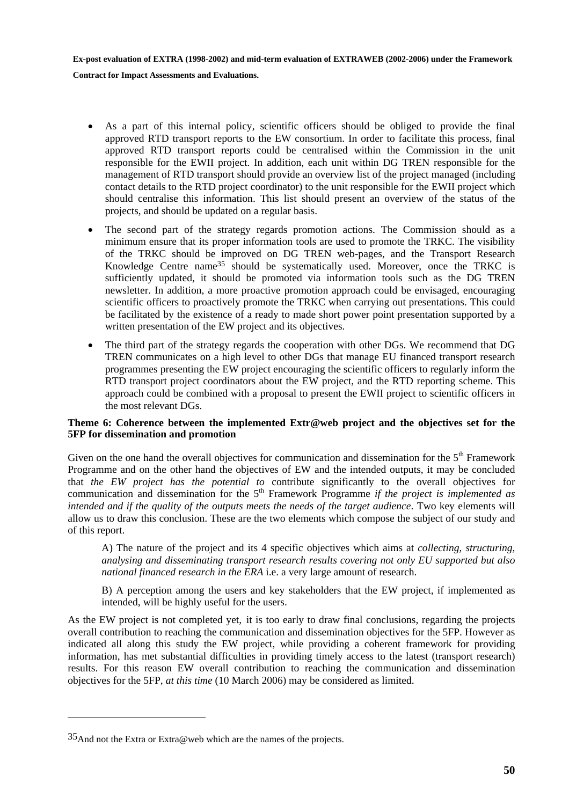- As a part of this internal policy, scientific officers should be obliged to provide the final approved RTD transport reports to the EW consortium. In order to facilitate this process, final approved RTD transport reports could be centralised within the Commission in the unit responsible for the EWII project. In addition, each unit within DG TREN responsible for the management of RTD transport should provide an overview list of the project managed (including contact details to the RTD project coordinator) to the unit responsible for the EWII project which should centralise this information. This list should present an overview of the status of the projects, and should be updated on a regular basis.
- The second part of the strategy regards promotion actions. The Commission should as a minimum ensure that its proper information tools are used to promote the TRKC. The visibility of the TRKC should be improved on DG TREN web-pages, and the Transport Research Knowledge Centre name35 should be systematically used. Moreover, once the TRKC is sufficiently updated, it should be promoted via information tools such as the DG TREN newsletter. In addition, a more proactive promotion approach could be envisaged, encouraging scientific officers to proactively promote the TRKC when carrying out presentations. This could be facilitated by the existence of a ready to made short power point presentation supported by a written presentation of the EW project and its objectives.
- The third part of the strategy regards the cooperation with other DGs. We recommend that DG TREN communicates on a high level to other DGs that manage EU financed transport research programmes presenting the EW project encouraging the scientific officers to regularly inform the RTD transport project coordinators about the EW project, and the RTD reporting scheme. This approach could be combined with a proposal to present the EWII project to scientific officers in the most relevant DGs.

#### **Theme 6: Coherence between the implemented Extr@web project and the objectives set for the 5FP for dissemination and promotion**

Given on the one hand the overall objectives for communication and dissemination for the  $5<sup>th</sup>$  Framework Programme and on the other hand the objectives of EW and the intended outputs, it may be concluded that *the EW project has the potential to* contribute significantly to the overall objectives for communication and dissemination for the 5<sup>th</sup> Framework Programme *if the project is implemented as intended and if the quality of the outputs meets the needs of the target audience*. Two key elements will allow us to draw this conclusion. These are the two elements which compose the subject of our study and of this report.

A) The nature of the project and its 4 specific objectives which aims at *collecting, structuring, analysing and disseminating transport research results covering not only EU supported but also national financed research in the ERA* i.e. a very large amount of research.

B) A perception among the users and key stakeholders that the EW project, if implemented as intended, will be highly useful for the users.

As the EW project is not completed yet, it is too early to draw final conclusions, regarding the projects overall contribution to reaching the communication and dissemination objectives for the 5FP. However as indicated all along this study the EW project, while providing a coherent framework for providing information, has met substantial difficulties in providing timely access to the latest (transport research) results. For this reason EW overall contribution to reaching the communication and dissemination objectives for the 5FP, *at this time* (10 March 2006) may be considered as limited.

 $\overline{a}$ 

<sup>35</sup>And not the Extra or Extra@web which are the names of the projects.